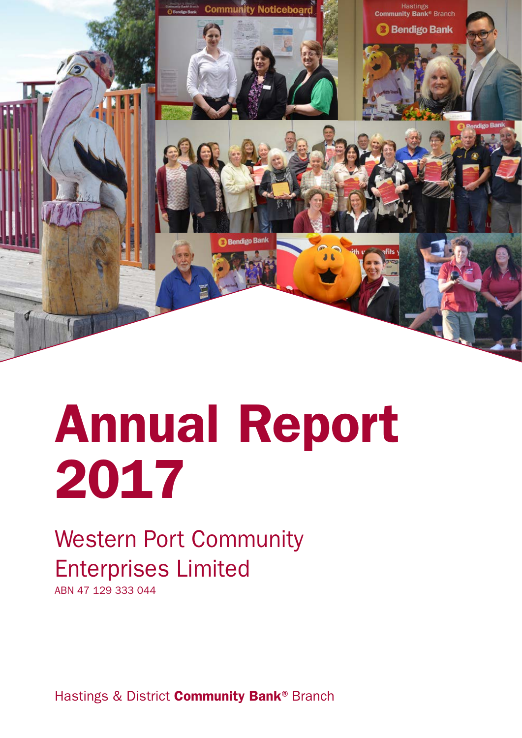

# Annual Report 2017

## Western Port Community Enterprises Limited

ABN 47 129 333 044

Hastings & District **Community Bank®** Branch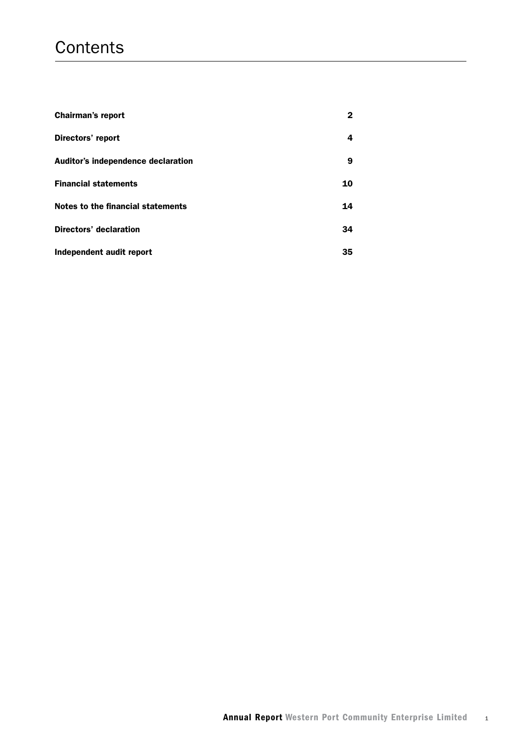## **Contents**

| <b>Chairman's report</b>           | 2  |
|------------------------------------|----|
| Directors' report                  | 4  |
| Auditor's independence declaration | 9  |
| <b>Financial statements</b>        | 10 |
| Notes to the financial statements  | 14 |
| Directors' declaration             | 34 |
| Independent audit report           | 35 |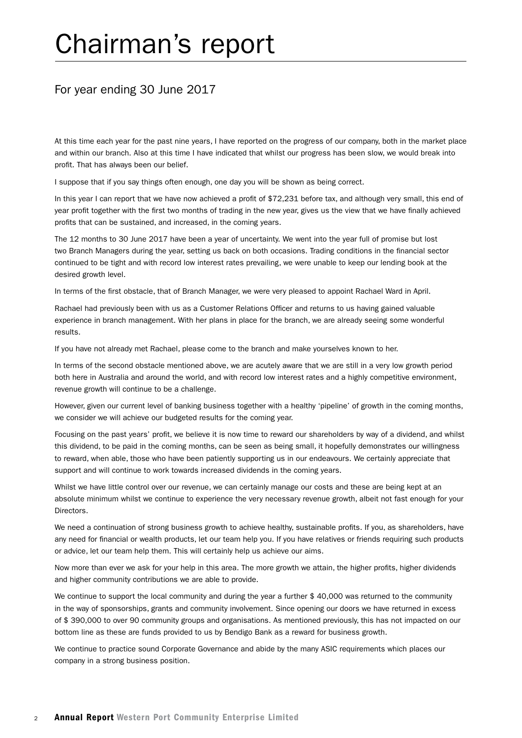## Chairman's report

## For year ending 30 June 2017

At this time each year for the past nine years, I have reported on the progress of our company, both in the market place and within our branch. Also at this time I have indicated that whilst our progress has been slow, we would break into profit. That has always been our belief.

I suppose that if you say things often enough, one day you will be shown as being correct.

In this year I can report that we have now achieved a profit of \$72,231 before tax, and although very small, this end of year profit together with the first two months of trading in the new year, gives us the view that we have finally achieved profits that can be sustained, and increased, in the coming years.

The 12 months to 30 June 2017 have been a year of uncertainty. We went into the year full of promise but lost two Branch Managers during the year, setting us back on both occasions. Trading conditions in the financial sector continued to be tight and with record low interest rates prevailing, we were unable to keep our lending book at the desired growth level.

In terms of the first obstacle, that of Branch Manager, we were very pleased to appoint Rachael Ward in April.

Rachael had previously been with us as a Customer Relations Officer and returns to us having gained valuable experience in branch management. With her plans in place for the branch, we are already seeing some wonderful results.

If you have not already met Rachael, please come to the branch and make yourselves known to her.

In terms of the second obstacle mentioned above, we are acutely aware that we are still in a very low growth period both here in Australia and around the world, and with record low interest rates and a highly competitive environment, revenue growth will continue to be a challenge.

However, given our current level of banking business together with a healthy 'pipeline' of growth in the coming months, we consider we will achieve our budgeted results for the coming year.

Focusing on the past years' profit, we believe it is now time to reward our shareholders by way of a dividend, and whilst this dividend, to be paid in the coming months, can be seen as being small, it hopefully demonstrates our willingness to reward, when able, those who have been patiently supporting us in our endeavours. We certainly appreciate that support and will continue to work towards increased dividends in the coming years.

Whilst we have little control over our revenue, we can certainly manage our costs and these are being kept at an absolute minimum whilst we continue to experience the very necessary revenue growth, albeit not fast enough for your Directors.

We need a continuation of strong business growth to achieve healthy, sustainable profits. If you, as shareholders, have any need for financial or wealth products, let our team help you. If you have relatives or friends requiring such products or advice, let our team help them. This will certainly help us achieve our aims.

Now more than ever we ask for your help in this area. The more growth we attain, the higher profits, higher dividends and higher community contributions we are able to provide.

We continue to support the local community and during the year a further \$40,000 was returned to the community in the way of sponsorships, grants and community involvement. Since opening our doors we have returned in excess of \$ 390,000 to over 90 community groups and organisations. As mentioned previously, this has not impacted on our bottom line as these are funds provided to us by Bendigo Bank as a reward for business growth.

We continue to practice sound Corporate Governance and abide by the many ASIC requirements which places our company in a strong business position.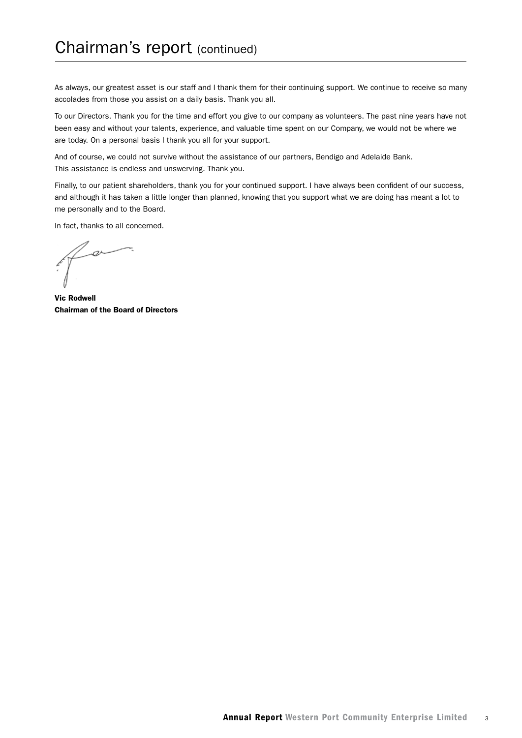As always, our greatest asset is our staff and I thank them for their continuing support. We continue to receive so many accolades from those you assist on a daily basis. Thank you all.

To our Directors. Thank you for the time and effort you give to our company as volunteers. The past nine years have not been easy and without your talents, experience, and valuable time spent on our Company, we would not be where we are today. On a personal basis I thank you all for your support.

And of course, we could not survive without the assistance of our partners, Bendigo and Adelaide Bank. This assistance is endless and unswerving. Thank you.

Finally, to our patient shareholders, thank you for your continued support. I have always been confident of our success, and although it has taken a little longer than planned, knowing that you support what we are doing has meant a lot to me personally and to the Board.

In fact, thanks to all concerned.

s

Vic Rodwell Chairman of the Board of Directors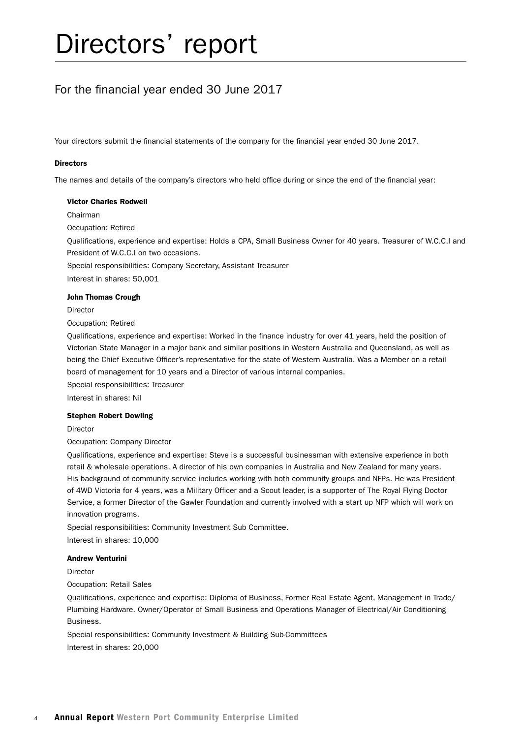## Directors' report

## For the financial year ended 30 June 2017

Your directors submit the financial statements of the company for the financial year ended 30 June 2017.

#### **Directors**

The names and details of the company's directors who held office during or since the end of the financial year:

#### Victor Charles Rodwell

Chairman

Occupation: Retired

Qualifications, experience and expertise: Holds a CPA, Small Business Owner for 40 years. Treasurer of W.C.C.I and President of W.C.C.I on two occasions.

Special responsibilities: Company Secretary, Assistant Treasurer Interest in shares: 50,001

#### John Thomas Crough

Director

Occupation: Retired

Qualifications, experience and expertise: Worked in the finance industry for over 41 years, held the position of Victorian State Manager in a major bank and similar positions in Western Australia and Queensland, as well as being the Chief Executive Officer's representative for the state of Western Australia. Was a Member on a retail board of management for 10 years and a Director of various internal companies.

Special responsibilities: Treasurer

Interest in shares: Nil

#### Stephen Robert Dowling

Director

Occupation: Company Director

Qualifications, experience and expertise: Steve is a successful businessman with extensive experience in both retail & wholesale operations. A director of his own companies in Australia and New Zealand for many years. His background of community service includes working with both community groups and NFPs. He was President of 4WD Victoria for 4 years, was a Military Officer and a Scout leader, is a supporter of The Royal Flying Doctor Service, a former Director of the Gawler Foundation and currently involved with a start up NFP which will work on innovation programs.

Special responsibilities: Community Investment Sub Committee. Interest in shares: 10,000

#### Andrew Venturini

Director

Occupation: Retail Sales

Qualifications, experience and expertise: Diploma of Business, Former Real Estate Agent, Management in Trade/ Plumbing Hardware. Owner/Operator of Small Business and Operations Manager of Electrical/Air Conditioning Business.

Special responsibilities: Community Investment & Building Sub-Committees Interest in shares: 20,000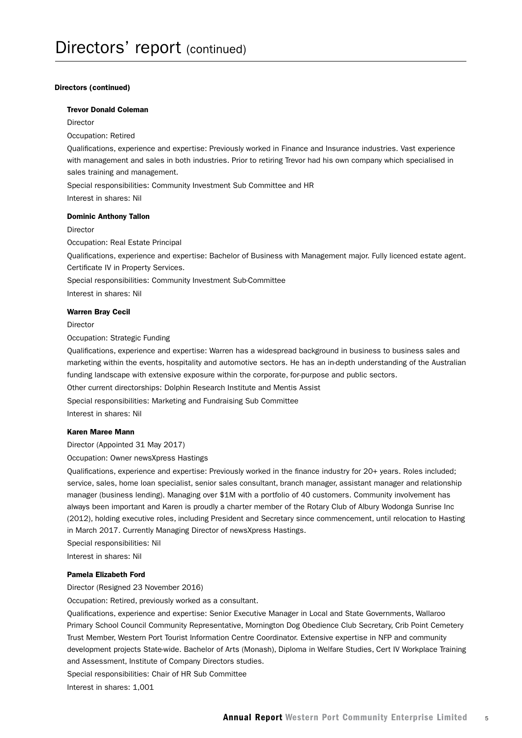#### Directors (continued)

#### Trevor Donald Coleman

Director

Occupation: Retired

Qualifications, experience and expertise: Previously worked in Finance and Insurance industries. Vast experience with management and sales in both industries. Prior to retiring Trevor had his own company which specialised in sales training and management.

Special responsibilities: Community Investment Sub Committee and HR Interest in shares: Nil

#### Dominic Anthony Tallon

Director

Occupation: Real Estate Principal

Qualifications, experience and expertise: Bachelor of Business with Management major. Fully licenced estate agent. Certificate IV in Property Services.

Special responsibilities: Community Investment Sub-Committee

Interest in shares: Nil

#### Warren Bray Cecil

Director

Occupation: Strategic Funding

Qualifications, experience and expertise: Warren has a widespread background in business to business sales and marketing within the events, hospitality and automotive sectors. He has an in-depth understanding of the Australian funding landscape with extensive exposure within the corporate, for-purpose and public sectors.

Other current directorships: Dolphin Research Institute and Mentis Assist

Special responsibilities: Marketing and Fundraising Sub Committee

Interest in shares: Nil

#### Karen Maree Mann

Director (Appointed 31 May 2017)

Occupation: Owner newsXpress Hastings

Qualifications, experience and expertise: Previously worked in the finance industry for 20+ years. Roles included; service, sales, home loan specialist, senior sales consultant, branch manager, assistant manager and relationship manager (business lending). Managing over \$1M with a portfolio of 40 customers. Community involvement has always been important and Karen is proudly a charter member of the Rotary Club of Albury Wodonga Sunrise Inc (2012), holding executive roles, including President and Secretary since commencement, until relocation to Hasting in March 2017. Currently Managing Director of newsXpress Hastings.

Special responsibilities: Nil

Interest in shares: Nil

#### Pamela Elizabeth Ford

Director (Resigned 23 November 2016)

Occupation: Retired, previously worked as a consultant.

Qualifications, experience and expertise: Senior Executive Manager in Local and State Governments, Wallaroo Primary School Council Community Representative, Mornington Dog Obedience Club Secretary, Crib Point Cemetery Trust Member, Western Port Tourist Information Centre Coordinator. Extensive expertise in NFP and community development projects State-wide. Bachelor of Arts (Monash), Diploma in Welfare Studies, Cert IV Workplace Training and Assessment, Institute of Company Directors studies.

Special responsibilities: Chair of HR Sub Committee

Interest in shares: 1,001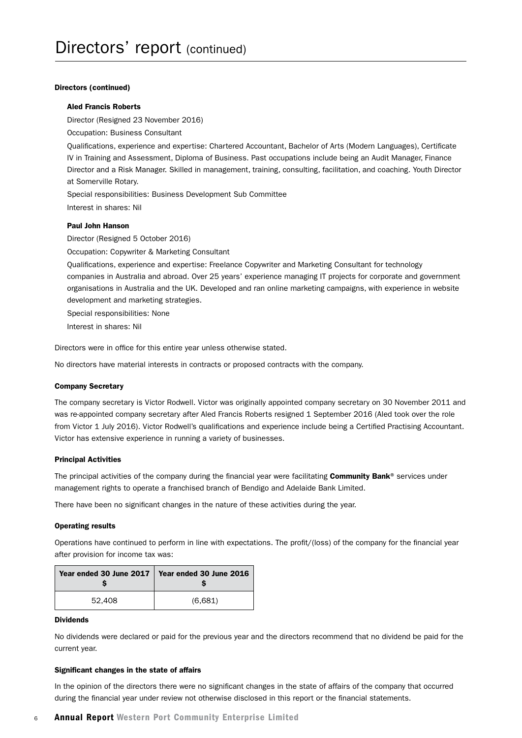#### Directors (continued)

#### Aled Francis Roberts

Director (Resigned 23 November 2016)

Occupation: Business Consultant

Qualifications, experience and expertise: Chartered Accountant, Bachelor of Arts (Modern Languages), Certificate IV in Training and Assessment, Diploma of Business. Past occupations include being an Audit Manager, Finance Director and a Risk Manager. Skilled in management, training, consulting, facilitation, and coaching. Youth Director at Somerville Rotary.

Special responsibilities: Business Development Sub Committee

Interest in shares: Nil

#### Paul John Hanson

Director (Resigned 5 October 2016)

Occupation: Copywriter & Marketing Consultant

Qualifications, experience and expertise: Freelance Copywriter and Marketing Consultant for technology companies in Australia and abroad. Over 25 years' experience managing IT projects for corporate and government organisations in Australia and the UK. Developed and ran online marketing campaigns, with experience in website development and marketing strategies.

Special responsibilities: None

Interest in shares: Nil

Directors were in office for this entire year unless otherwise stated.

No directors have material interests in contracts or proposed contracts with the company.

#### Company Secretary

The company secretary is Victor Rodwell. Victor was originally appointed company secretary on 30 November 2011 and was re-appointed company secretary after Aled Francis Roberts resigned 1 September 2016 (Aled took over the role from Victor 1 July 2016). Victor Rodwell's qualifications and experience include being a Certified Practising Accountant. Victor has extensive experience in running a variety of businesses.

#### Principal Activities

The principal activities of the company during the financial year were facilitating **Community Bank®** services under management rights to operate a franchised branch of Bendigo and Adelaide Bank Limited.

There have been no significant changes in the nature of these activities during the year.

#### Operating results

Operations have continued to perform in line with expectations. The profit/(loss) of the company for the financial year after provision for income tax was:

|        | Year ended 30 June 2017   Year ended 30 June 2016 |
|--------|---------------------------------------------------|
| 52.408 | (6,681)                                           |

#### Dividends

No dividends were declared or paid for the previous year and the directors recommend that no dividend be paid for the current year.

#### Significant changes in the state of affairs

In the opinion of the directors there were no significant changes in the state of affairs of the company that occurred during the financial year under review not otherwise disclosed in this report or the financial statements.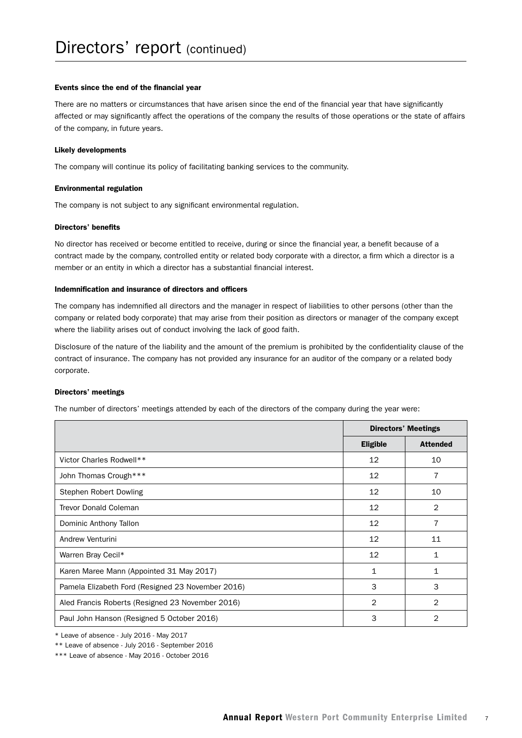#### Events since the end of the financial year

There are no matters or circumstances that have arisen since the end of the financial year that have significantly affected or may significantly affect the operations of the company the results of those operations or the state of affairs of the company, in future years.

#### Likely developments

The company will continue its policy of facilitating banking services to the community.

#### Environmental regulation

The company is not subject to any significant environmental regulation.

#### Directors' benefits

No director has received or become entitled to receive, during or since the financial year, a benefit because of a contract made by the company, controlled entity or related body corporate with a director, a firm which a director is a member or an entity in which a director has a substantial financial interest.

#### Indemnification and insurance of directors and officers

The company has indemnified all directors and the manager in respect of liabilities to other persons (other than the company or related body corporate) that may arise from their position as directors or manager of the company except where the liability arises out of conduct involving the lack of good faith.

Disclosure of the nature of the liability and the amount of the premium is prohibited by the confidentiality clause of the contract of insurance. The company has not provided any insurance for an auditor of the company or a related body corporate.

#### Directors' meetings

The number of directors' meetings attended by each of the directors of the company during the year were:

|                                                   | <b>Directors' Meetings</b> |                 |
|---------------------------------------------------|----------------------------|-----------------|
|                                                   | <b>Eligible</b>            | <b>Attended</b> |
| Victor Charles Rodwell**                          | 12                         | 10              |
| John Thomas Crough ***                            | 12                         | 7               |
| <b>Stephen Robert Dowling</b>                     | 12                         | 10              |
| <b>Trevor Donald Coleman</b>                      | 12                         | 2               |
| Dominic Anthony Tallon                            | 12                         | 7               |
| Andrew Venturini                                  | 12                         | 11              |
| Warren Bray Cecil*                                | 12                         | 1               |
| Karen Maree Mann (Appointed 31 May 2017)          | 1                          | 1               |
| Pamela Elizabeth Ford (Resigned 23 November 2016) | 3                          | 3               |
| Aled Francis Roberts (Resigned 23 November 2016)  | $\overline{2}$             | 2               |
| Paul John Hanson (Resigned 5 October 2016)        | 3                          | 2               |

\* Leave of absence - July 2016 - May 2017

\*\* Leave of absence - July 2016 - September 2016

\*\*\* Leave of absence - May 2016 - October 2016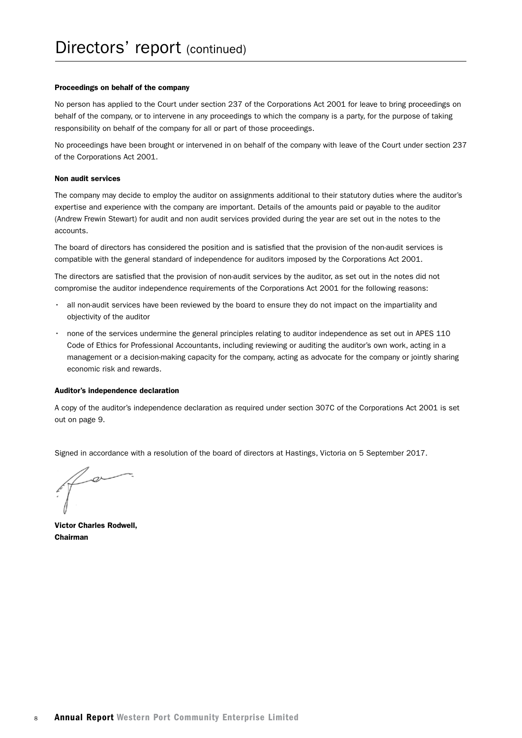#### Proceedings on behalf of the company

No person has applied to the Court under section 237 of the Corporations Act 2001 for leave to bring proceedings on behalf of the company, or to intervene in any proceedings to which the company is a party, for the purpose of taking responsibility on behalf of the company for all or part of those proceedings.

No proceedings have been brought or intervened in on behalf of the company with leave of the Court under section 237 of the Corporations Act 2001.

#### Non audit services

The company may decide to employ the auditor on assignments additional to their statutory duties where the auditor's expertise and experience with the company are important. Details of the amounts paid or payable to the auditor (Andrew Frewin Stewart) for audit and non audit services provided during the year are set out in the notes to the accounts.

The board of directors has considered the position and is satisfied that the provision of the non-audit services is compatible with the general standard of independence for auditors imposed by the Corporations Act 2001.

The directors are satisfied that the provision of non-audit services by the auditor, as set out in the notes did not compromise the auditor independence requirements of the Corporations Act 2001 for the following reasons:

- all non-audit services have been reviewed by the board to ensure they do not impact on the impartiality and objectivity of the auditor
- none of the services undermine the general principles relating to auditor independence as set out in APES 110 Code of Ethics for Professional Accountants, including reviewing or auditing the auditor's own work, acting in a management or a decision-making capacity for the company, acting as advocate for the company or jointly sharing economic risk and rewards.

#### Auditor's independence declaration

A copy of the auditor's independence declaration as required under section 307C of the Corporations Act 2001 is set out on page 9.

Signed in accordance with a resolution of the board of directors at Hastings, Victoria on 5 September 2017.

Victor Charles Rodwell, Chairman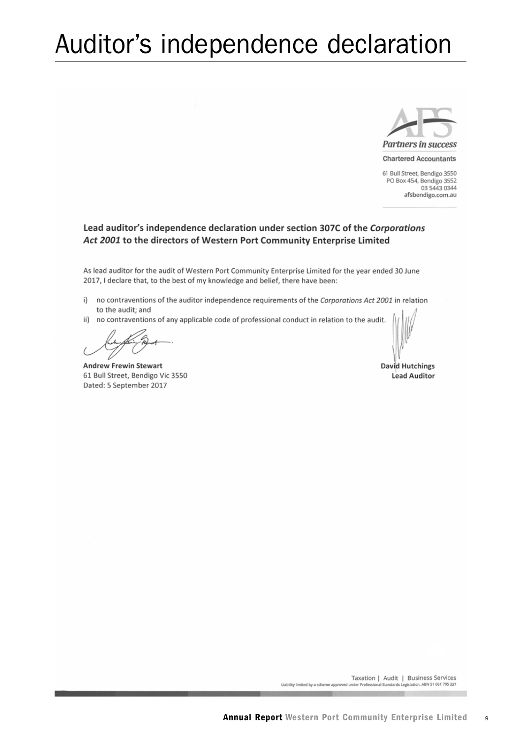## Auditor's independence declaration



PO Box 454, Bendigo 3552 03 5443 0344 afsbendigo.com.au

#### Lead auditor's independence declaration under section 307C of the Corporations Act 2001 to the directors of Western Port Community Enterprise Limited

As lead auditor for the audit of Western Port Community Enterprise Limited for the year ended 30 June 2017, I declare that, to the best of my knowledge and belief, there have been:

- i) no contraventions of the auditor independence requirements of the Corporations Act 2001 in relation to the audit; and
- ii) no contraventions of any applicable code of professional conduct in relation to the audit.

**Andrew Frewin Stewart** 61 Bull Street, Bendigo Vic 3550 Dated: 5 September 2017

**David Hutchings Lead Auditor** 

Taxation | Audit | Business Services n. ABN 51 061 795 337 Liability limited by a sch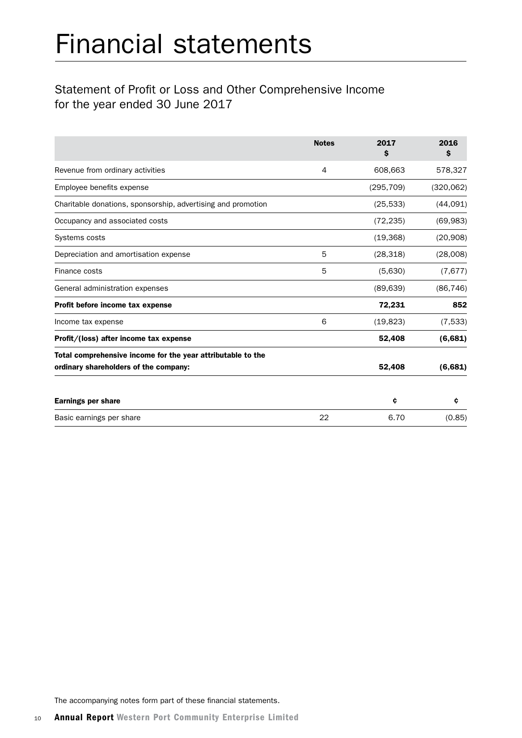## Financial statements

## Statement of Profit or Loss and Other Comprehensive Income for the year ended 30 June 2017

|                                                                                                      | <b>Notes</b> | 2017<br>\$ | 2016<br>\$ |
|------------------------------------------------------------------------------------------------------|--------------|------------|------------|
| Revenue from ordinary activities                                                                     | 4            | 608,663    | 578,327    |
| Employee benefits expense                                                                            |              | (295, 709) | (320, 062) |
| Charitable donations, sponsorship, advertising and promotion                                         |              | (25, 533)  | (44,091)   |
| Occupancy and associated costs                                                                       |              | (72, 235)  | (69, 983)  |
| Systems costs                                                                                        |              | (19, 368)  | (20, 908)  |
| Depreciation and amortisation expense                                                                | 5            | (28, 318)  | (28,008)   |
| Finance costs                                                                                        | 5            | (5,630)    | (7,677)    |
| General administration expenses                                                                      |              | (89, 639)  | (86, 746)  |
| Profit before income tax expense                                                                     |              | 72,231     | 852        |
| Income tax expense                                                                                   | 6            | (19, 823)  | (7, 533)   |
| Profit/(loss) after income tax expense                                                               |              | 52,408     | (6,681)    |
| Total comprehensive income for the year attributable to the<br>ordinary shareholders of the company: |              | 52,408     | (6,681)    |
|                                                                                                      |              |            |            |
| <b>Earnings per share</b>                                                                            |              | ¢          | ¢          |
| Basic earnings per share                                                                             | 22           | 6.70       | (0.85)     |

The accompanying notes form part of these financial statements.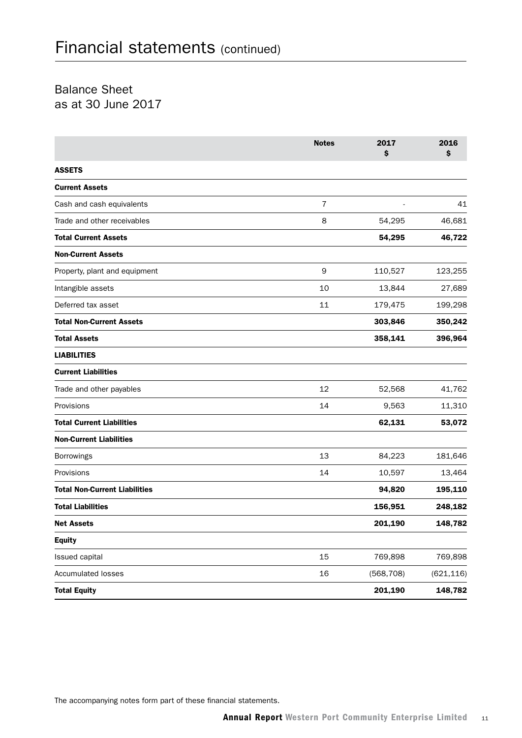## Balance Sheet as at 30 June 2017

|                                      | <b>Notes</b>   | 2017<br>\$ | 2016<br>\$ |
|--------------------------------------|----------------|------------|------------|
| <b>ASSETS</b>                        |                |            |            |
| <b>Current Assets</b>                |                |            |            |
| Cash and cash equivalents            | $\overline{7}$ |            | 41         |
| Trade and other receivables          | 8              | 54,295     | 46,681     |
| <b>Total Current Assets</b>          |                | 54,295     | 46,722     |
| <b>Non-Current Assets</b>            |                |            |            |
| Property, plant and equipment        | $\mathsf 9$    | 110,527    | 123,255    |
| Intangible assets                    | 10             | 13,844     | 27,689     |
| Deferred tax asset                   | 11             | 179,475    | 199,298    |
| <b>Total Non-Current Assets</b>      |                | 303,846    | 350,242    |
| <b>Total Assets</b>                  |                | 358,141    | 396,964    |
| <b>LIABILITIES</b>                   |                |            |            |
| <b>Current Liabilities</b>           |                |            |            |
| Trade and other payables             | 12             | 52,568     | 41,762     |
| Provisions                           | 14             | 9,563      | 11,310     |
| <b>Total Current Liabilities</b>     |                | 62,131     | 53,072     |
| <b>Non-Current Liabilities</b>       |                |            |            |
| Borrowings                           | 13             | 84,223     | 181,646    |
| Provisions                           | 14             | 10,597     | 13,464     |
| <b>Total Non-Current Liabilities</b> |                | 94,820     | 195,110    |
| <b>Total Liabilities</b>             |                | 156,951    | 248,182    |
| <b>Net Assets</b>                    |                | 201,190    | 148,782    |
| <b>Equity</b>                        |                |            |            |
| Issued capital                       | 15             | 769,898    | 769,898    |
| <b>Accumulated losses</b>            | 16             | (568, 708) | (621, 116) |
| <b>Total Equity</b>                  |                | 201,190    | 148,782    |

The accompanying notes form part of these financial statements.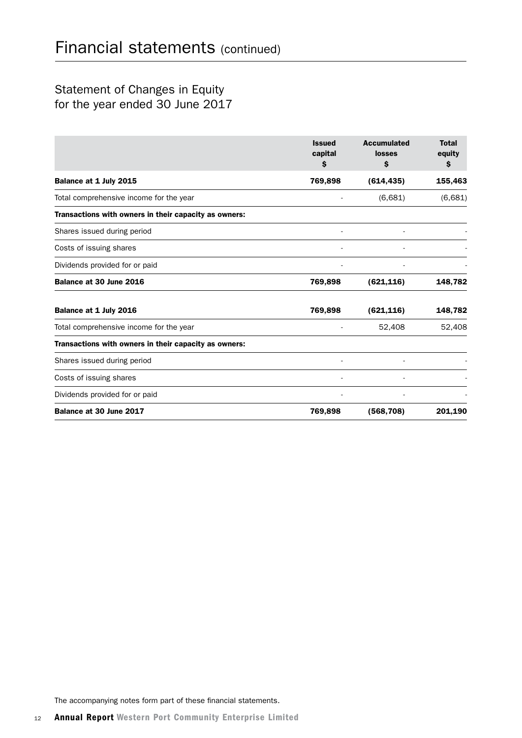## Statement of Changes in Equity for the year ended 30 June 2017

|                                                       | <b>Issued</b><br>capital<br>s | <b>Accumulated</b><br>losses<br>\$ | <b>Total</b><br>equity<br>\$ |
|-------------------------------------------------------|-------------------------------|------------------------------------|------------------------------|
| Balance at 1 July 2015                                | 769,898                       | (614, 435)                         | 155,463                      |
| Total comprehensive income for the year               |                               | (6,681)                            | (6,681)                      |
| Transactions with owners in their capacity as owners: |                               |                                    |                              |
| Shares issued during period                           |                               |                                    |                              |
| Costs of issuing shares                               |                               |                                    |                              |
| Dividends provided for or paid                        |                               |                                    |                              |
| Balance at 30 June 2016                               | 769,898                       | (621, 116)                         | 148,782                      |
| Balance at 1 July 2016                                | 769,898                       | (621, 116)                         | 148,782                      |
| Total comprehensive income for the year               |                               | 52,408                             | 52,408                       |
| Transactions with owners in their capacity as owners: |                               |                                    |                              |
| Shares issued during period                           |                               |                                    |                              |
| Costs of issuing shares                               |                               |                                    |                              |
| Dividends provided for or paid                        |                               |                                    |                              |
| Balance at 30 June 2017                               | 769,898                       | (568, 708)                         | 201,190                      |

The accompanying notes form part of these financial statements.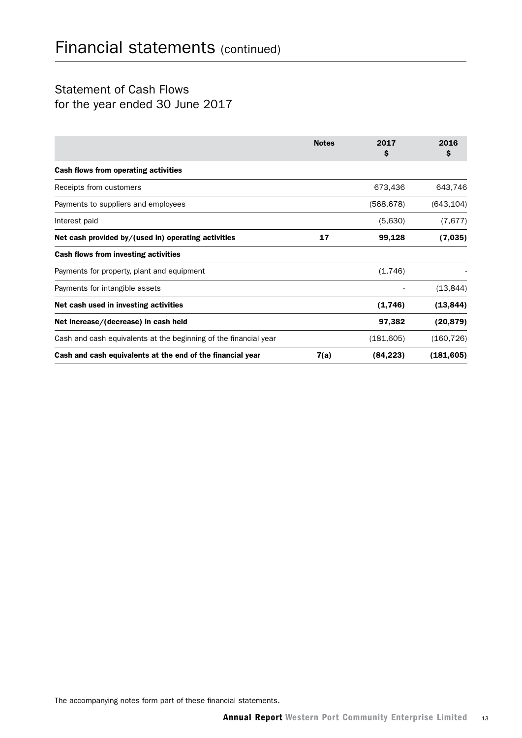## Statement of Cash Flows for the year ended 30 June 2017

|                                                                  | <b>Notes</b> | 2017<br>Ş  | 2016<br>\$. |
|------------------------------------------------------------------|--------------|------------|-------------|
| Cash flows from operating activities                             |              |            |             |
| Receipts from customers                                          |              | 673,436    | 643,746     |
| Payments to suppliers and employees                              |              | (568, 678) | (643, 104)  |
| Interest paid                                                    |              | (5,630)    | (7,677)     |
| Net cash provided by/(used in) operating activities              | 17           | 99,128     | (7,035)     |
| Cash flows from investing activities                             |              |            |             |
| Payments for property, plant and equipment                       |              | (1,746)    |             |
| Payments for intangible assets                                   |              |            | (13, 844)   |
| Net cash used in investing activities                            |              | (1,746)    | (13, 844)   |
| Net increase/(decrease) in cash held                             |              | 97,382     | (20, 879)   |
| Cash and cash equivalents at the beginning of the financial year |              | (181, 605) | (160, 726)  |
| Cash and cash equivalents at the end of the financial year       | 7(a)         | (84, 223)  | (181, 605)  |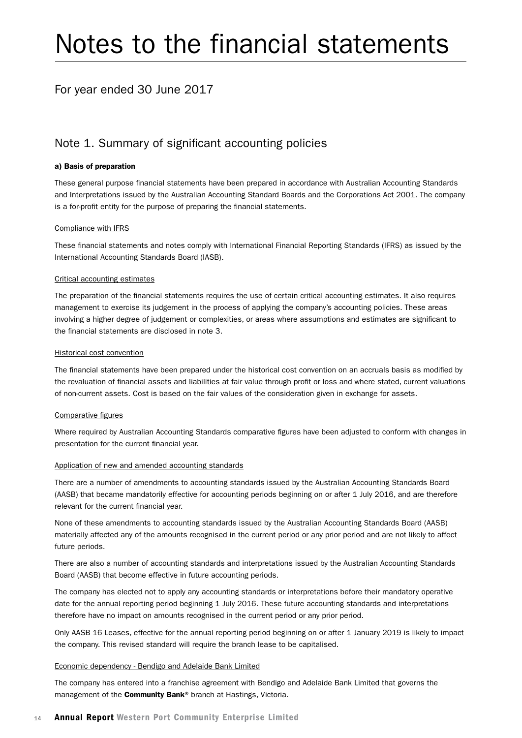## Notes to the financial statements

## For year ended 30 June 2017

## Note 1. Summary of significant accounting policies

#### a) Basis of preparation

These general purpose financial statements have been prepared in accordance with Australian Accounting Standards and Interpretations issued by the Australian Accounting Standard Boards and the Corporations Act 2001. The company is a for-profit entity for the purpose of preparing the financial statements.

#### Compliance with IFRS

These financial statements and notes comply with International Financial Reporting Standards (IFRS) as issued by the International Accounting Standards Board (IASB).

#### Critical accounting estimates

The preparation of the financial statements requires the use of certain critical accounting estimates. It also requires management to exercise its judgement in the process of applying the company's accounting policies. These areas involving a higher degree of judgement or complexities, or areas where assumptions and estimates are significant to the financial statements are disclosed in note 3.

#### Historical cost convention

The financial statements have been prepared under the historical cost convention on an accruals basis as modified by the revaluation of financial assets and liabilities at fair value through profit or loss and where stated, current valuations of non-current assets. Cost is based on the fair values of the consideration given in exchange for assets.

#### Comparative figures

Where required by Australian Accounting Standards comparative figures have been adjusted to conform with changes in presentation for the current financial year.

#### Application of new and amended accounting standards

There are a number of amendments to accounting standards issued by the Australian Accounting Standards Board (AASB) that became mandatorily effective for accounting periods beginning on or after 1 July 2016, and are therefore relevant for the current financial year.

None of these amendments to accounting standards issued by the Australian Accounting Standards Board (AASB) materially affected any of the amounts recognised in the current period or any prior period and are not likely to affect future periods.

There are also a number of accounting standards and interpretations issued by the Australian Accounting Standards Board (AASB) that become effective in future accounting periods.

The company has elected not to apply any accounting standards or interpretations before their mandatory operative date for the annual reporting period beginning 1 July 2016. These future accounting standards and interpretations therefore have no impact on amounts recognised in the current period or any prior period.

Only AASB 16 Leases, effective for the annual reporting period beginning on or after 1 January 2019 is likely to impact the company. This revised standard will require the branch lease to be capitalised.

#### Economic dependency - Bendigo and Adelaide Bank Limited

The company has entered into a franchise agreement with Bendigo and Adelaide Bank Limited that governs the management of the **Community Bank®** branch at Hastings, Victoria.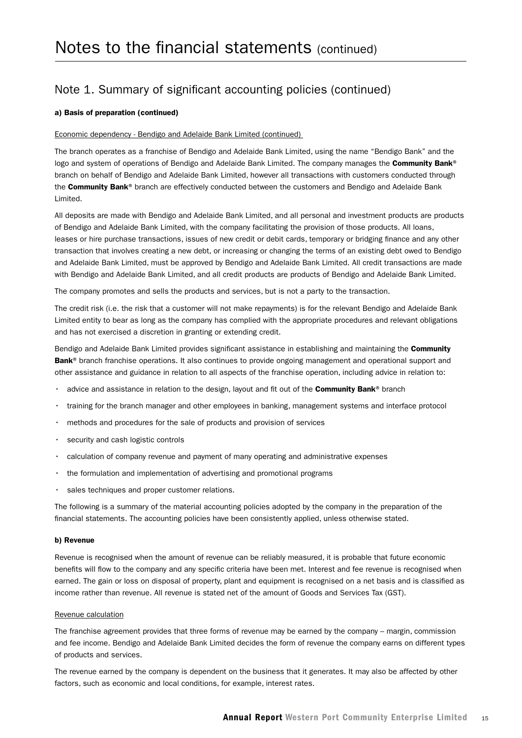#### a) Basis of preparation (continued)

#### Economic dependency - Bendigo and Adelaide Bank Limited (continued)

The branch operates as a franchise of Bendigo and Adelaide Bank Limited, using the name "Bendigo Bank" and the logo and system of operations of Bendigo and Adelaide Bank Limited. The company manages the **Community Bank**<sup>®</sup> branch on behalf of Bendigo and Adelaide Bank Limited, however all transactions with customers conducted through the Community Bank® branch are effectively conducted between the customers and Bendigo and Adelaide Bank Limited.

All deposits are made with Bendigo and Adelaide Bank Limited, and all personal and investment products are products of Bendigo and Adelaide Bank Limited, with the company facilitating the provision of those products. All loans, leases or hire purchase transactions, issues of new credit or debit cards, temporary or bridging finance and any other transaction that involves creating a new debt, or increasing or changing the terms of an existing debt owed to Bendigo and Adelaide Bank Limited, must be approved by Bendigo and Adelaide Bank Limited. All credit transactions are made with Bendigo and Adelaide Bank Limited, and all credit products are products of Bendigo and Adelaide Bank Limited.

The company promotes and sells the products and services, but is not a party to the transaction.

The credit risk (i.e. the risk that a customer will not make repayments) is for the relevant Bendigo and Adelaide Bank Limited entity to bear as long as the company has complied with the appropriate procedures and relevant obligations and has not exercised a discretion in granting or extending credit.

Bendigo and Adelaide Bank Limited provides significant assistance in establishing and maintaining the Community Bank<sup>®</sup> branch franchise operations. It also continues to provide ongoing management and operational support and other assistance and guidance in relation to all aspects of the franchise operation, including advice in relation to:

- advice and assistance in relation to the design, layout and fit out of the **Community Bank**® branch
- training for the branch manager and other employees in banking, management systems and interface protocol
- methods and procedures for the sale of products and provision of services
- security and cash logistic controls
- calculation of company revenue and payment of many operating and administrative expenses
- the formulation and implementation of advertising and promotional programs
- sales techniques and proper customer relations.

The following is a summary of the material accounting policies adopted by the company in the preparation of the financial statements. The accounting policies have been consistently applied, unless otherwise stated.

#### b) Revenue

Revenue is recognised when the amount of revenue can be reliably measured, it is probable that future economic benefits will flow to the company and any specific criteria have been met. Interest and fee revenue is recognised when earned. The gain or loss on disposal of property, plant and equipment is recognised on a net basis and is classified as income rather than revenue. All revenue is stated net of the amount of Goods and Services Tax (GST).

#### Revenue calculation

The franchise agreement provides that three forms of revenue may be earned by the company – margin, commission and fee income. Bendigo and Adelaide Bank Limited decides the form of revenue the company earns on different types of products and services.

The revenue earned by the company is dependent on the business that it generates. It may also be affected by other factors, such as economic and local conditions, for example, interest rates.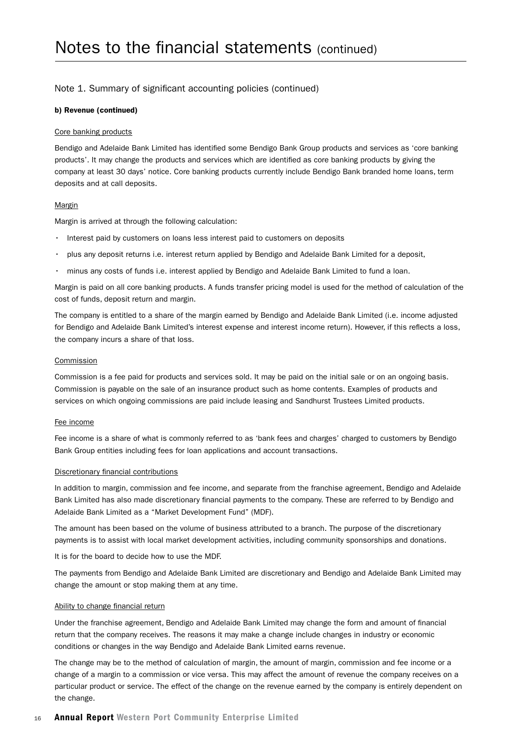#### b) Revenue (continued)

#### Core banking products

Bendigo and Adelaide Bank Limited has identified some Bendigo Bank Group products and services as 'core banking products'. It may change the products and services which are identified as core banking products by giving the company at least 30 days' notice. Core banking products currently include Bendigo Bank branded home loans, term deposits and at call deposits.

#### Margin

Margin is arrived at through the following calculation:

- Interest paid by customers on loans less interest paid to customers on deposits
- plus any deposit returns i.e. interest return applied by Bendigo and Adelaide Bank Limited for a deposit,
- minus any costs of funds i.e. interest applied by Bendigo and Adelaide Bank Limited to fund a loan.

Margin is paid on all core banking products. A funds transfer pricing model is used for the method of calculation of the cost of funds, deposit return and margin.

The company is entitled to a share of the margin earned by Bendigo and Adelaide Bank Limited (i.e. income adjusted for Bendigo and Adelaide Bank Limited's interest expense and interest income return). However, if this reflects a loss, the company incurs a share of that loss.

#### Commission

Commission is a fee paid for products and services sold. It may be paid on the initial sale or on an ongoing basis. Commission is payable on the sale of an insurance product such as home contents. Examples of products and services on which ongoing commissions are paid include leasing and Sandhurst Trustees Limited products.

#### Fee income

Fee income is a share of what is commonly referred to as 'bank fees and charges' charged to customers by Bendigo Bank Group entities including fees for loan applications and account transactions.

#### Discretionary financial contributions

In addition to margin, commission and fee income, and separate from the franchise agreement, Bendigo and Adelaide Bank Limited has also made discretionary financial payments to the company. These are referred to by Bendigo and Adelaide Bank Limited as a "Market Development Fund" (MDF).

The amount has been based on the volume of business attributed to a branch. The purpose of the discretionary payments is to assist with local market development activities, including community sponsorships and donations.

It is for the board to decide how to use the MDF.

The payments from Bendigo and Adelaide Bank Limited are discretionary and Bendigo and Adelaide Bank Limited may change the amount or stop making them at any time.

#### Ability to change financial return

Under the franchise agreement, Bendigo and Adelaide Bank Limited may change the form and amount of financial return that the company receives. The reasons it may make a change include changes in industry or economic conditions or changes in the way Bendigo and Adelaide Bank Limited earns revenue.

The change may be to the method of calculation of margin, the amount of margin, commission and fee income or a change of a margin to a commission or vice versa. This may affect the amount of revenue the company receives on a particular product or service. The effect of the change on the revenue earned by the company is entirely dependent on the change.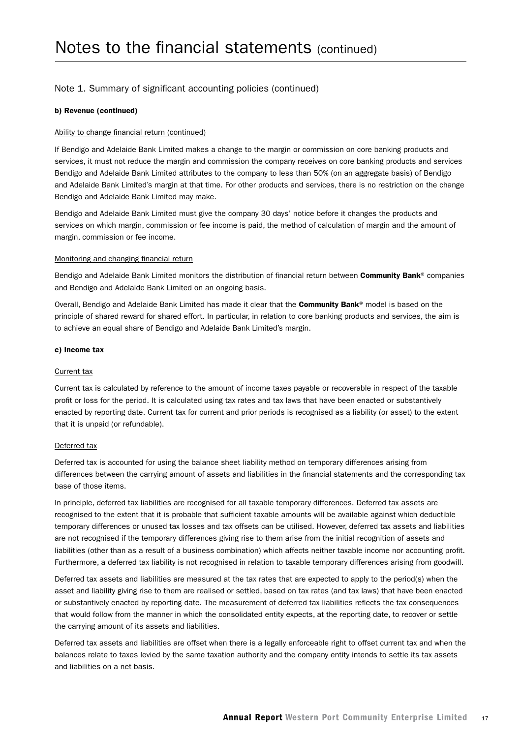#### b) Revenue (continued)

#### Ability to change financial return (continued)

If Bendigo and Adelaide Bank Limited makes a change to the margin or commission on core banking products and services, it must not reduce the margin and commission the company receives on core banking products and services Bendigo and Adelaide Bank Limited attributes to the company to less than 50% (on an aggregate basis) of Bendigo and Adelaide Bank Limited's margin at that time. For other products and services, there is no restriction on the change Bendigo and Adelaide Bank Limited may make.

Bendigo and Adelaide Bank Limited must give the company 30 days' notice before it changes the products and services on which margin, commission or fee income is paid, the method of calculation of margin and the amount of margin, commission or fee income.

#### Monitoring and changing financial return

Bendigo and Adelaide Bank Limited monitors the distribution of financial return between Community Bank® companies and Bendigo and Adelaide Bank Limited on an ongoing basis.

Overall, Bendigo and Adelaide Bank Limited has made it clear that the **Community Bank®** model is based on the principle of shared reward for shared effort. In particular, in relation to core banking products and services, the aim is to achieve an equal share of Bendigo and Adelaide Bank Limited's margin.

#### c) Income tax

#### Current tax

Current tax is calculated by reference to the amount of income taxes payable or recoverable in respect of the taxable profit or loss for the period. It is calculated using tax rates and tax laws that have been enacted or substantively enacted by reporting date. Current tax for current and prior periods is recognised as a liability (or asset) to the extent that it is unpaid (or refundable).

#### Deferred tax

Deferred tax is accounted for using the balance sheet liability method on temporary differences arising from differences between the carrying amount of assets and liabilities in the financial statements and the corresponding tax base of those items.

In principle, deferred tax liabilities are recognised for all taxable temporary differences. Deferred tax assets are recognised to the extent that it is probable that sufficient taxable amounts will be available against which deductible temporary differences or unused tax losses and tax offsets can be utilised. However, deferred tax assets and liabilities are not recognised if the temporary differences giving rise to them arise from the initial recognition of assets and liabilities (other than as a result of a business combination) which affects neither taxable income nor accounting profit. Furthermore, a deferred tax liability is not recognised in relation to taxable temporary differences arising from goodwill.

Deferred tax assets and liabilities are measured at the tax rates that are expected to apply to the period(s) when the asset and liability giving rise to them are realised or settled, based on tax rates (and tax laws) that have been enacted or substantively enacted by reporting date. The measurement of deferred tax liabilities reflects the tax consequences that would follow from the manner in which the consolidated entity expects, at the reporting date, to recover or settle the carrying amount of its assets and liabilities.

Deferred tax assets and liabilities are offset when there is a legally enforceable right to offset current tax and when the balances relate to taxes levied by the same taxation authority and the company entity intends to settle its tax assets and liabilities on a net basis.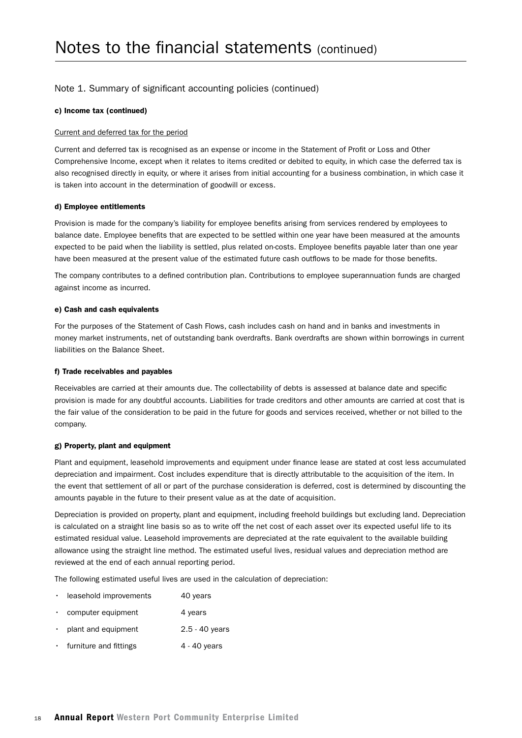#### c) Income tax (continued)

#### Current and deferred tax for the period

Current and deferred tax is recognised as an expense or income in the Statement of Profit or Loss and Other Comprehensive Income, except when it relates to items credited or debited to equity, in which case the deferred tax is also recognised directly in equity, or where it arises from initial accounting for a business combination, in which case it is taken into account in the determination of goodwill or excess.

#### d) Employee entitlements

Provision is made for the company's liability for employee benefits arising from services rendered by employees to balance date. Employee benefits that are expected to be settled within one year have been measured at the amounts expected to be paid when the liability is settled, plus related on-costs. Employee benefits payable later than one year have been measured at the present value of the estimated future cash outflows to be made for those benefits.

The company contributes to a defined contribution plan. Contributions to employee superannuation funds are charged against income as incurred.

#### e) Cash and cash equivalents

For the purposes of the Statement of Cash Flows, cash includes cash on hand and in banks and investments in money market instruments, net of outstanding bank overdrafts. Bank overdrafts are shown within borrowings in current liabilities on the Balance Sheet.

#### f) Trade receivables and payables

Receivables are carried at their amounts due. The collectability of debts is assessed at balance date and specific provision is made for any doubtful accounts. Liabilities for trade creditors and other amounts are carried at cost that is the fair value of the consideration to be paid in the future for goods and services received, whether or not billed to the company.

#### g) Property, plant and equipment

Plant and equipment, leasehold improvements and equipment under finance lease are stated at cost less accumulated depreciation and impairment. Cost includes expenditure that is directly attributable to the acquisition of the item. In the event that settlement of all or part of the purchase consideration is deferred, cost is determined by discounting the amounts payable in the future to their present value as at the date of acquisition.

Depreciation is provided on property, plant and equipment, including freehold buildings but excluding land. Depreciation is calculated on a straight line basis so as to write off the net cost of each asset over its expected useful life to its estimated residual value. Leasehold improvements are depreciated at the rate equivalent to the available building allowance using the straight line method. The estimated useful lives, residual values and depreciation method are reviewed at the end of each annual reporting period.

The following estimated useful lives are used in the calculation of depreciation:

- leasehold improvements 40 years
- $\cdot$  computer equipment 4 years
- plant and equipment 2.5 40 years
- furniture and fittings 4 40 years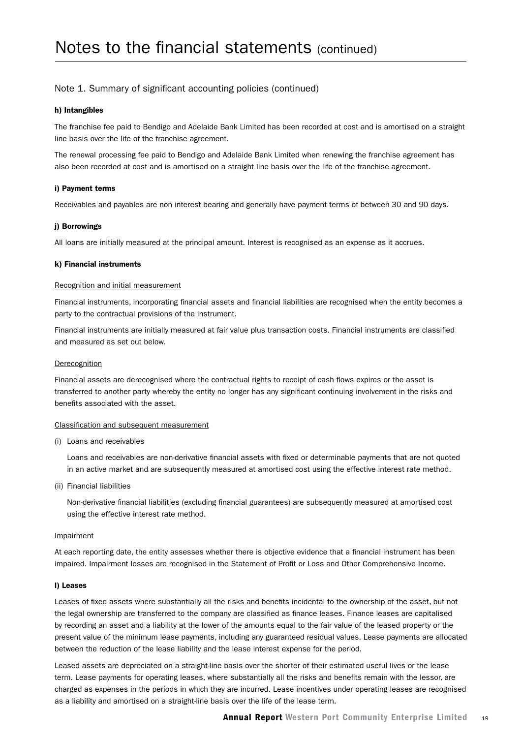#### h) Intangibles

The franchise fee paid to Bendigo and Adelaide Bank Limited has been recorded at cost and is amortised on a straight line basis over the life of the franchise agreement.

The renewal processing fee paid to Bendigo and Adelaide Bank Limited when renewing the franchise agreement has also been recorded at cost and is amortised on a straight line basis over the life of the franchise agreement.

#### i) Payment terms

Receivables and payables are non interest bearing and generally have payment terms of between 30 and 90 days.

#### j) Borrowings

All loans are initially measured at the principal amount. Interest is recognised as an expense as it accrues.

#### k) Financial instruments

#### Recognition and initial measurement

Financial instruments, incorporating financial assets and financial liabilities are recognised when the entity becomes a party to the contractual provisions of the instrument.

Financial instruments are initially measured at fair value plus transaction costs. Financial instruments are classified and measured as set out below.

#### Derecognition

Financial assets are derecognised where the contractual rights to receipt of cash flows expires or the asset is transferred to another party whereby the entity no longer has any significant continuing involvement in the risks and benefits associated with the asset.

#### Classification and subsequent measurement

(i) Loans and receivables

Loans and receivables are non-derivative financial assets with fixed or determinable payments that are not quoted in an active market and are subsequently measured at amortised cost using the effective interest rate method.

(ii) Financial liabilities

Non-derivative financial liabilities (excluding financial guarantees) are subsequently measured at amortised cost using the effective interest rate method.

#### **Impairment**

At each reporting date, the entity assesses whether there is objective evidence that a financial instrument has been impaired. Impairment losses are recognised in the Statement of Profit or Loss and Other Comprehensive Income.

#### l) Leases

Leases of fixed assets where substantially all the risks and benefits incidental to the ownership of the asset, but not the legal ownership are transferred to the company are classified as finance leases. Finance leases are capitalised by recording an asset and a liability at the lower of the amounts equal to the fair value of the leased property or the present value of the minimum lease payments, including any guaranteed residual values. Lease payments are allocated between the reduction of the lease liability and the lease interest expense for the period.

Leased assets are depreciated on a straight-line basis over the shorter of their estimated useful lives or the lease term. Lease payments for operating leases, where substantially all the risks and benefits remain with the lessor, are charged as expenses in the periods in which they are incurred. Lease incentives under operating leases are recognised as a liability and amortised on a straight-line basis over the life of the lease term.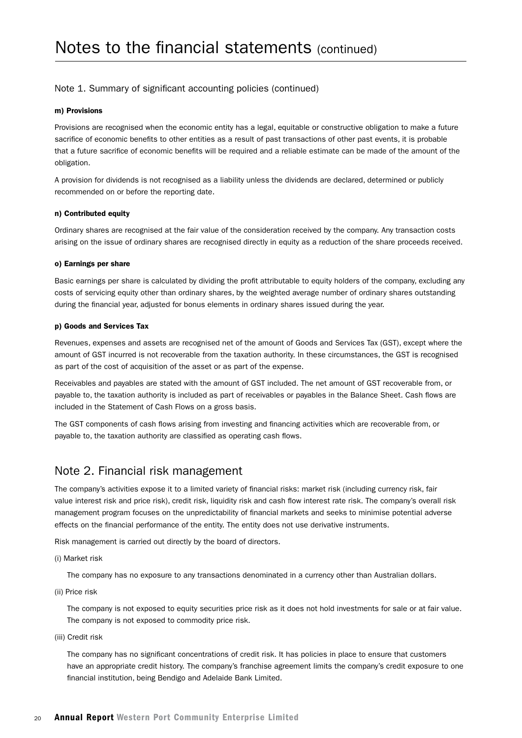#### m) Provisions

Provisions are recognised when the economic entity has a legal, equitable or constructive obligation to make a future sacrifice of economic benefits to other entities as a result of past transactions of other past events, it is probable that a future sacrifice of economic benefits will be required and a reliable estimate can be made of the amount of the obligation.

A provision for dividends is not recognised as a liability unless the dividends are declared, determined or publicly recommended on or before the reporting date.

#### n) Contributed equity

Ordinary shares are recognised at the fair value of the consideration received by the company. Any transaction costs arising on the issue of ordinary shares are recognised directly in equity as a reduction of the share proceeds received.

#### o) Earnings per share

Basic earnings per share is calculated by dividing the profit attributable to equity holders of the company, excluding any costs of servicing equity other than ordinary shares, by the weighted average number of ordinary shares outstanding during the financial year, adjusted for bonus elements in ordinary shares issued during the year.

#### p) Goods and Services Tax

Revenues, expenses and assets are recognised net of the amount of Goods and Services Tax (GST), except where the amount of GST incurred is not recoverable from the taxation authority. In these circumstances, the GST is recognised as part of the cost of acquisition of the asset or as part of the expense.

Receivables and payables are stated with the amount of GST included. The net amount of GST recoverable from, or payable to, the taxation authority is included as part of receivables or payables in the Balance Sheet. Cash flows are included in the Statement of Cash Flows on a gross basis.

The GST components of cash flows arising from investing and financing activities which are recoverable from, or payable to, the taxation authority are classified as operating cash flows.

### Note 2. Financial risk management

The company's activities expose it to a limited variety of financial risks: market risk (including currency risk, fair value interest risk and price risk), credit risk, liquidity risk and cash flow interest rate risk. The company's overall risk management program focuses on the unpredictability of financial markets and seeks to minimise potential adverse effects on the financial performance of the entity. The entity does not use derivative instruments.

Risk management is carried out directly by the board of directors.

(i) Market risk

The company has no exposure to any transactions denominated in a currency other than Australian dollars.

(ii) Price risk

The company is not exposed to equity securities price risk as it does not hold investments for sale or at fair value. The company is not exposed to commodity price risk.

(iii) Credit risk

The company has no significant concentrations of credit risk. It has policies in place to ensure that customers have an appropriate credit history. The company's franchise agreement limits the company's credit exposure to one financial institution, being Bendigo and Adelaide Bank Limited.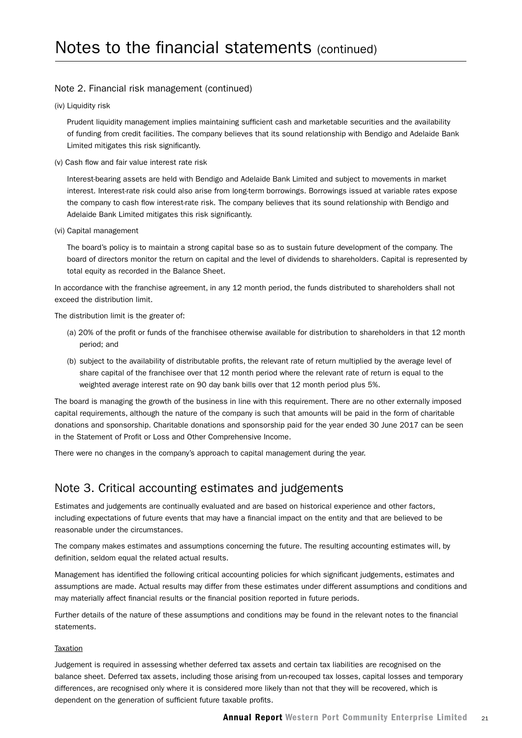#### Note 2. Financial risk management (continued)

(iv) Liquidity risk

Prudent liquidity management implies maintaining sufficient cash and marketable securities and the availability of funding from credit facilities. The company believes that its sound relationship with Bendigo and Adelaide Bank Limited mitigates this risk significantly.

(v) Cash flow and fair value interest rate risk

Interest-bearing assets are held with Bendigo and Adelaide Bank Limited and subject to movements in market interest. Interest-rate risk could also arise from long-term borrowings. Borrowings issued at variable rates expose the company to cash flow interest-rate risk. The company believes that its sound relationship with Bendigo and Adelaide Bank Limited mitigates this risk significantly.

(vi) Capital management

The board's policy is to maintain a strong capital base so as to sustain future development of the company. The board of directors monitor the return on capital and the level of dividends to shareholders. Capital is represented by total equity as recorded in the Balance Sheet.

In accordance with the franchise agreement, in any 12 month period, the funds distributed to shareholders shall not exceed the distribution limit.

The distribution limit is the greater of:

- (a) 20% of the profit or funds of the franchisee otherwise available for distribution to shareholders in that 12 month period; and
- (b) subject to the availability of distributable profits, the relevant rate of return multiplied by the average level of share capital of the franchisee over that 12 month period where the relevant rate of return is equal to the weighted average interest rate on 90 day bank bills over that 12 month period plus 5%.

The board is managing the growth of the business in line with this requirement. There are no other externally imposed capital requirements, although the nature of the company is such that amounts will be paid in the form of charitable donations and sponsorship. Charitable donations and sponsorship paid for the year ended 30 June 2017 can be seen in the Statement of Profit or Loss and Other Comprehensive Income.

There were no changes in the company's approach to capital management during the year.

### Note 3. Critical accounting estimates and judgements

Estimates and judgements are continually evaluated and are based on historical experience and other factors, including expectations of future events that may have a financial impact on the entity and that are believed to be reasonable under the circumstances.

The company makes estimates and assumptions concerning the future. The resulting accounting estimates will, by definition, seldom equal the related actual results.

Management has identified the following critical accounting policies for which significant judgements, estimates and assumptions are made. Actual results may differ from these estimates under different assumptions and conditions and may materially affect financial results or the financial position reported in future periods.

Further details of the nature of these assumptions and conditions may be found in the relevant notes to the financial statements.

#### Taxation

Judgement is required in assessing whether deferred tax assets and certain tax liabilities are recognised on the balance sheet. Deferred tax assets, including those arising from un-recouped tax losses, capital losses and temporary differences, are recognised only where it is considered more likely than not that they will be recovered, which is dependent on the generation of sufficient future taxable profits.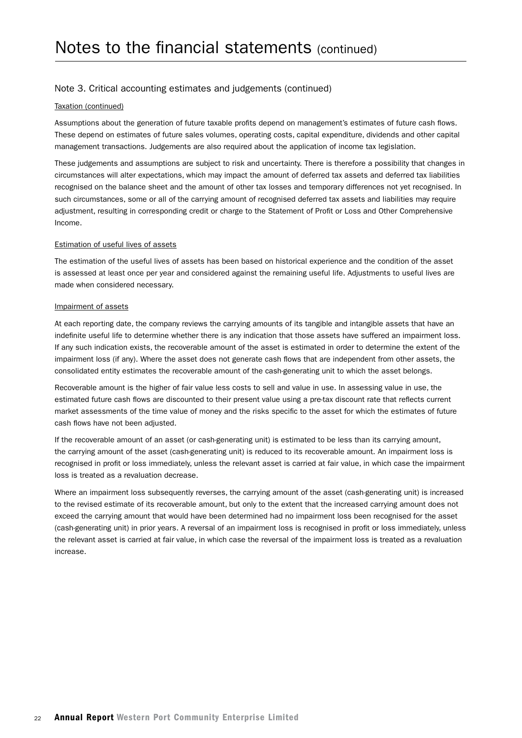#### Note 3. Critical accounting estimates and judgements (continued)

#### Taxation (continued)

Assumptions about the generation of future taxable profits depend on management's estimates of future cash flows. These depend on estimates of future sales volumes, operating costs, capital expenditure, dividends and other capital management transactions. Judgements are also required about the application of income tax legislation.

These judgements and assumptions are subject to risk and uncertainty. There is therefore a possibility that changes in circumstances will alter expectations, which may impact the amount of deferred tax assets and deferred tax liabilities recognised on the balance sheet and the amount of other tax losses and temporary differences not yet recognised. In such circumstances, some or all of the carrying amount of recognised deferred tax assets and liabilities may require adjustment, resulting in corresponding credit or charge to the Statement of Profit or Loss and Other Comprehensive Income.

#### Estimation of useful lives of assets

The estimation of the useful lives of assets has been based on historical experience and the condition of the asset is assessed at least once per year and considered against the remaining useful life. Adjustments to useful lives are made when considered necessary.

#### Impairment of assets

At each reporting date, the company reviews the carrying amounts of its tangible and intangible assets that have an indefinite useful life to determine whether there is any indication that those assets have suffered an impairment loss. If any such indication exists, the recoverable amount of the asset is estimated in order to determine the extent of the impairment loss (if any). Where the asset does not generate cash flows that are independent from other assets, the consolidated entity estimates the recoverable amount of the cash-generating unit to which the asset belongs.

Recoverable amount is the higher of fair value less costs to sell and value in use. In assessing value in use, the estimated future cash flows are discounted to their present value using a pre-tax discount rate that reflects current market assessments of the time value of money and the risks specific to the asset for which the estimates of future cash flows have not been adjusted.

If the recoverable amount of an asset (or cash-generating unit) is estimated to be less than its carrying amount, the carrying amount of the asset (cash-generating unit) is reduced to its recoverable amount. An impairment loss is recognised in profit or loss immediately, unless the relevant asset is carried at fair value, in which case the impairment loss is treated as a revaluation decrease.

Where an impairment loss subsequently reverses, the carrying amount of the asset (cash-generating unit) is increased to the revised estimate of its recoverable amount, but only to the extent that the increased carrying amount does not exceed the carrying amount that would have been determined had no impairment loss been recognised for the asset (cash-generating unit) in prior years. A reversal of an impairment loss is recognised in profit or loss immediately, unless the relevant asset is carried at fair value, in which case the reversal of the impairment loss is treated as a revaluation increase.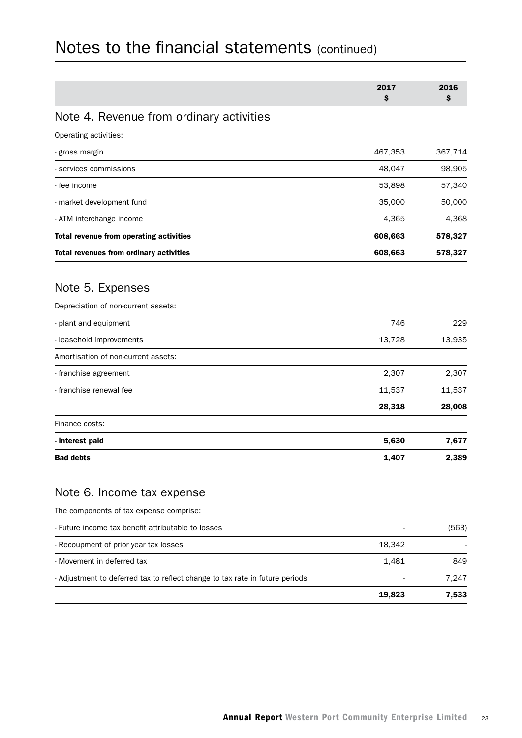| $\sim$ $\sim$ $\sim$<br>.<br><u>zvii</u> | 2016 |
|------------------------------------------|------|
|                                          |      |

## Note 4. Revenue from ordinary activities

Operating activities:

| 608,663 | 578,327 |
|---------|---------|
| 4.365   | 4,368   |
| 35,000  | 50,000  |
| 53.898  | 57,340  |
| 48.047  | 98,905  |
| 467,353 | 367,714 |
|         |         |

### Note 5. Expenses

| Depreciation of non-current assets: |        |        |
|-------------------------------------|--------|--------|
| - plant and equipment               | 746    | 229    |
| - leasehold improvements            | 13,728 | 13,935 |
| Amortisation of non-current assets: |        |        |
| - franchise agreement               | 2,307  | 2,307  |
| - franchise renewal fee             | 11,537 | 11,537 |
|                                     | 28,318 | 28,008 |
| Finance costs:                      |        |        |
| - interest paid                     | 5,630  | 7,677  |
| <b>Bad debts</b>                    | 1,407  | 2,389  |

### Note 6. Income tax expense

The components of tax expense comprise:

|                                                                              | 19.823                   | 7.533 |
|------------------------------------------------------------------------------|--------------------------|-------|
| - Adjustment to deferred tax to reflect change to tax rate in future periods |                          | 7.247 |
| - Movement in deferred tax                                                   | 1.481                    | 849   |
| - Recoupment of prior year tax losses                                        | 18.342                   |       |
| - Future income tax benefit attributable to losses                           | $\overline{\phantom{0}}$ | (563) |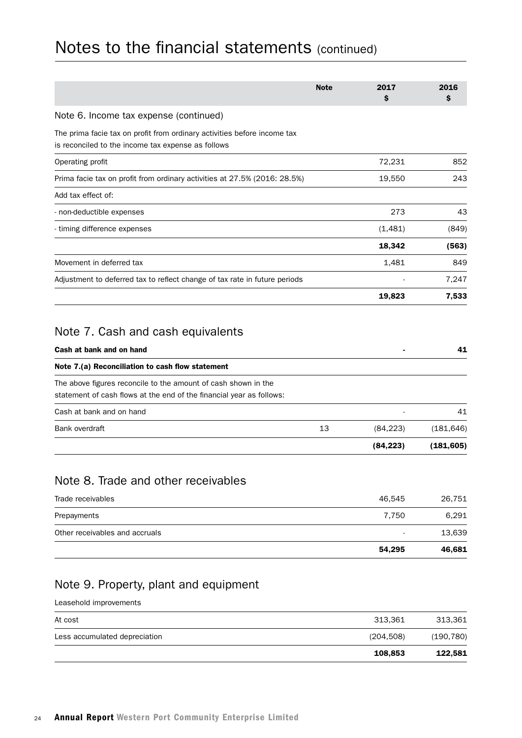|                                                                                                                                | <b>Note</b> | 2017<br>s | 2016<br>s |
|--------------------------------------------------------------------------------------------------------------------------------|-------------|-----------|-----------|
| Note 6. Income tax expense (continued)                                                                                         |             |           |           |
| The prima facie tax on profit from ordinary activities before income tax<br>is reconciled to the income tax expense as follows |             |           |           |
| Operating profit                                                                                                               |             | 72,231    | 852       |
| Prima facie tax on profit from ordinary activities at 27.5% (2016: 28.5%)                                                      |             | 19,550    | 243       |
| Add tax effect of:                                                                                                             |             |           |           |
| - non-deductible expenses                                                                                                      |             | 273       | 43        |
| - timing difference expenses                                                                                                   |             | (1,481)   | (849)     |
|                                                                                                                                |             | 18,342    | (563)     |
| Movement in deferred tax                                                                                                       |             | 1,481     | 849       |
| Adjustment to deferred tax to reflect change of tax rate in future periods                                                     |             |           | 7,247     |
|                                                                                                                                |             | 19,823    | 7,533     |
| Note 7. Cash and cash equivalents                                                                                              |             |           |           |
| Cash at bank and on hand                                                                                                       |             |           | 41        |
| Note 7.(a) Reconciliation to cash flow statement                                                                               |             |           |           |
| The above figures reconcile to the amount of cash shown in the                                                                 |             |           |           |

statement of cash flows at the end of the financial year as follows:

|                          |    | (84, 223) | (181, 605) |
|--------------------------|----|-----------|------------|
| Bank overdraft           | 13 | (84, 223) | (181, 646) |
| Cash at bank and on hand |    | -         | 41         |

## Note 8. Trade and other receivables

|                                | 54.295 | 46,681 |
|--------------------------------|--------|--------|
| Other receivables and accruals |        | 13,639 |
| Prepayments                    | 7.750  | 6,291  |
| Trade receivables              | 46.545 | 26,751 |

## Note 9. Property, plant and equipment

Leasehold improvements

|                               | 108.853    | 122,581    |
|-------------------------------|------------|------------|
| Less accumulated depreciation | (204, 508) | (190, 780) |
| At cost                       | 313.361    | 313.361    |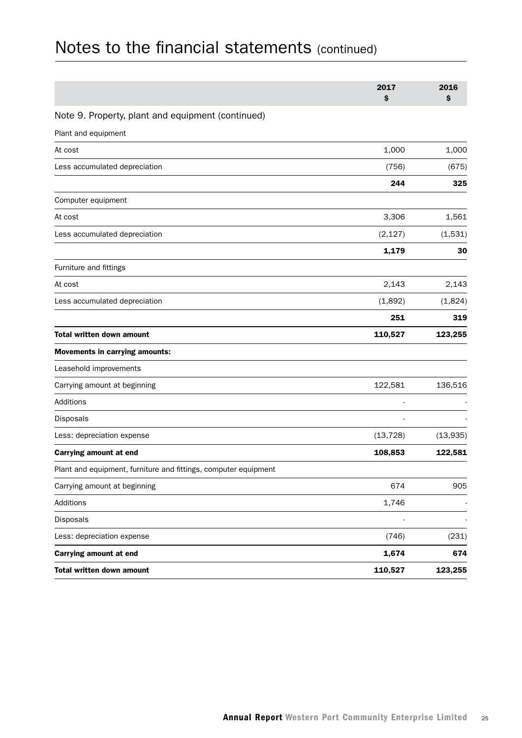|                                                                 | 2017<br>\$ | 2016<br>\$ |
|-----------------------------------------------------------------|------------|------------|
| Note 9. Property, plant and equipment (continued)               |            |            |
| Plant and equipment                                             |            |            |
| At cost                                                         | 1,000      | 1,000      |
| Less accumulated depreciation                                   | (756)      | (675)      |
|                                                                 | 244        | 325        |
| Computer equipment                                              |            |            |
| At cost                                                         | 3,306      | 1,561      |
| Less accumulated depreciation                                   | (2, 127)   | (1,531)    |
|                                                                 | 1,179      | 30         |
| Furniture and fittings                                          |            |            |
| At cost                                                         | 2,143      | 2,143      |
| Less accumulated depreciation                                   | (1,892)    | (1,824)    |
|                                                                 | 251        | 319        |
| <b>Total written down amount</b>                                | 110,527    | 123,255    |
| <b>Movements in carrying amounts:</b>                           |            |            |
| Leasehold improvements                                          |            |            |
| Carrying amount at beginning                                    | 122,581    | 136,516    |
| Additions                                                       |            |            |
| Disposals                                                       |            |            |
| Less: depreciation expense                                      | (13, 728)  | (13, 935)  |
| <b>Carrying amount at end</b>                                   | 108,853    | 122,581    |
| Plant and equipment, furniture and fittings, computer equipment |            |            |
| Carrying amount at beginning                                    | 674        | 905        |
| Additions                                                       | 1,746      |            |
| Disposals                                                       |            |            |
| Less: depreciation expense                                      | (746)      | (231)      |
| Carrying amount at end                                          | 1,674      | 674        |
| Total written down amount                                       | 110,527    | 123,255    |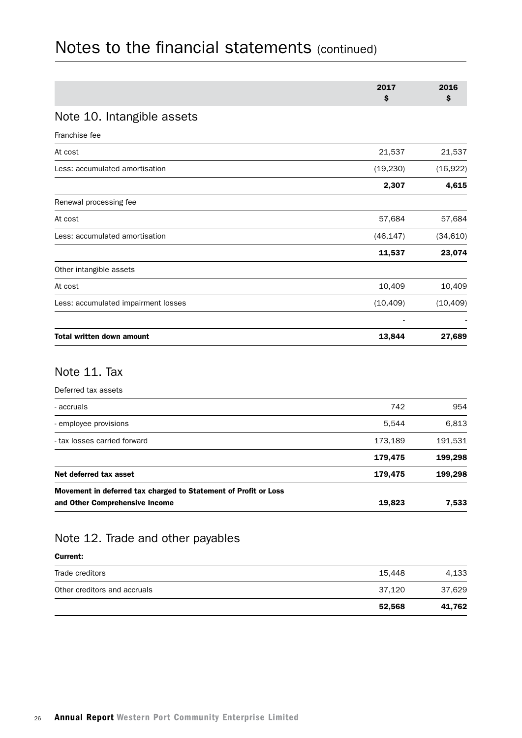|                                     | 2017<br>\$ | 2016<br>\$ |
|-------------------------------------|------------|------------|
| Note 10. Intangible assets          |            |            |
| Franchise fee                       |            |            |
| At cost                             | 21,537     | 21,537     |
| Less: accumulated amortisation      | (19, 230)  | (16, 922)  |
|                                     | 2,307      | 4,615      |
| Renewal processing fee              |            |            |
| At cost                             | 57,684     | 57,684     |
| Less: accumulated amortisation      | (46, 147)  | (34, 610)  |
|                                     | 11,537     | 23,074     |
| Other intangible assets             |            |            |
| At cost                             | 10,409     | 10,409     |
| Less: accumulated impairment losses | (10, 409)  | (10, 409)  |
|                                     |            |            |
| <b>Total written down amount</b>    | 13,844     | 27,689     |

## Note 11. Tax

| Movement in deferred tax charged to Statement of Profit or Loss<br>and Other Comprehensive Income | 19,823  | 7,533   |
|---------------------------------------------------------------------------------------------------|---------|---------|
| Net deferred tax asset                                                                            | 179,475 | 199,298 |
|                                                                                                   | 179,475 | 199,298 |
| - tax losses carried forward                                                                      | 173,189 | 191,531 |
| - employee provisions                                                                             | 5,544   | 6,813   |
| - accruals                                                                                        | 742     | 954     |
| Deferred tax assets                                                                               |         |         |

## Note 12. Trade and other payables

#### Current:

|                              | 52.568 | 41.762 |
|------------------------------|--------|--------|
| Other creditors and accruals | 37.120 | 37,629 |
| Trade creditors              | 15.448 | 4,133  |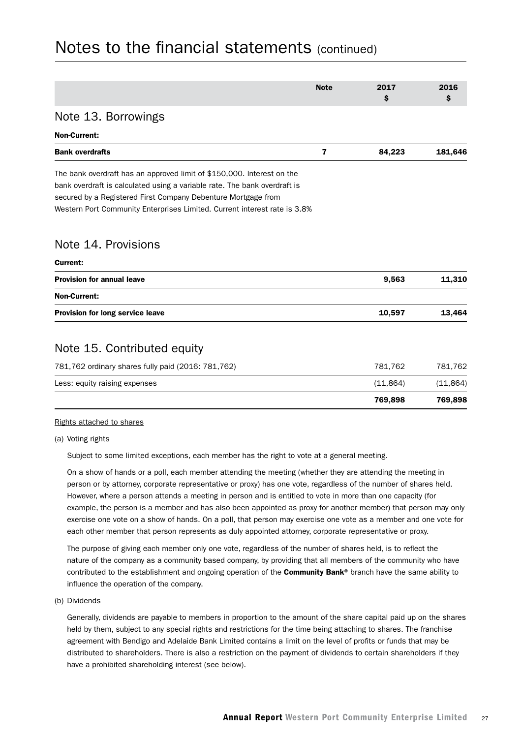|                                                                                                                                                                                                                                                                                                   | <b>Note</b>             | 2017   | 2016    |
|---------------------------------------------------------------------------------------------------------------------------------------------------------------------------------------------------------------------------------------------------------------------------------------------------|-------------------------|--------|---------|
| Note 13. Borrowings                                                                                                                                                                                                                                                                               |                         | \$     | \$      |
| <b>Non-Current:</b>                                                                                                                                                                                                                                                                               |                         |        |         |
| <b>Bank overdrafts</b>                                                                                                                                                                                                                                                                            | $\overline{\mathbf{z}}$ | 84,223 | 181,646 |
| The bank overdraft has an approved limit of \$150,000. Interest on the<br>bank overdraft is calculated using a variable rate. The bank overdraft is<br>secured by a Registered First Company Debenture Mortgage from<br>Western Port Community Enterprises Limited. Current interest rate is 3.8% |                         |        |         |
| Note 14. Provisions                                                                                                                                                                                                                                                                               |                         |        |         |
| Current:                                                                                                                                                                                                                                                                                          |                         |        |         |
| <b>Provision for annual leave</b>                                                                                                                                                                                                                                                                 |                         | 9,563  | 11,310  |
| <b>Non-Current:</b>                                                                                                                                                                                                                                                                               |                         |        |         |
| Provision for long service leave                                                                                                                                                                                                                                                                  |                         | 10,597 | 13,464  |

## Note 15. Contributed equity

|                                                    | 769.898  | 769.898  |
|----------------------------------------------------|----------|----------|
| Less: equity raising expenses                      | (11.864) | (11.864) |
| 781,762 ordinary shares fully paid (2016: 781,762) | 781.762  | 781.762  |

#### Rights attached to shares

#### (a) Voting rights

Subject to some limited exceptions, each member has the right to vote at a general meeting.

On a show of hands or a poll, each member attending the meeting (whether they are attending the meeting in person or by attorney, corporate representative or proxy) has one vote, regardless of the number of shares held. However, where a person attends a meeting in person and is entitled to vote in more than one capacity (for example, the person is a member and has also been appointed as proxy for another member) that person may only exercise one vote on a show of hands. On a poll, that person may exercise one vote as a member and one vote for each other member that person represents as duly appointed attorney, corporate representative or proxy.

The purpose of giving each member only one vote, regardless of the number of shares held, is to reflect the nature of the company as a community based company, by providing that all members of the community who have contributed to the establishment and ongoing operation of the **Community Bank®** branch have the same ability to influence the operation of the company.

(b) Dividends

Generally, dividends are payable to members in proportion to the amount of the share capital paid up on the shares held by them, subject to any special rights and restrictions for the time being attaching to shares. The franchise agreement with Bendigo and Adelaide Bank Limited contains a limit on the level of profits or funds that may be distributed to shareholders. There is also a restriction on the payment of dividends to certain shareholders if they have a prohibited shareholding interest (see below).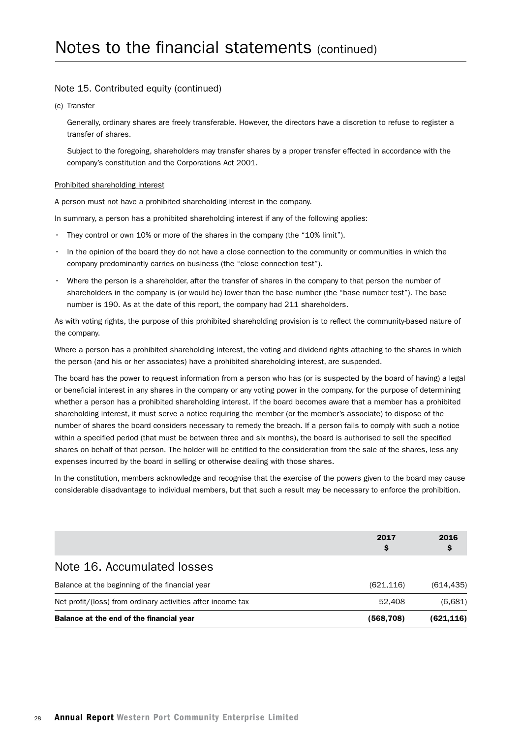#### Note 15. Contributed equity (continued)

(c) Transfer

Generally, ordinary shares are freely transferable. However, the directors have a discretion to refuse to register a transfer of shares.

Subject to the foregoing, shareholders may transfer shares by a proper transfer effected in accordance with the company's constitution and the Corporations Act 2001.

#### Prohibited shareholding interest

A person must not have a prohibited shareholding interest in the company.

In summary, a person has a prohibited shareholding interest if any of the following applies:

- They control or own 10% or more of the shares in the company (the "10% limit").
- In the opinion of the board they do not have a close connection to the community or communities in which the company predominantly carries on business (the "close connection test").
- Where the person is a shareholder, after the transfer of shares in the company to that person the number of shareholders in the company is (or would be) lower than the base number (the "base number test"). The base number is 190. As at the date of this report, the company had 211 shareholders.

As with voting rights, the purpose of this prohibited shareholding provision is to reflect the community-based nature of the company.

Where a person has a prohibited shareholding interest, the voting and dividend rights attaching to the shares in which the person (and his or her associates) have a prohibited shareholding interest, are suspended.

The board has the power to request information from a person who has (or is suspected by the board of having) a legal or beneficial interest in any shares in the company or any voting power in the company, for the purpose of determining whether a person has a prohibited shareholding interest. If the board becomes aware that a member has a prohibited shareholding interest, it must serve a notice requiring the member (or the member's associate) to dispose of the number of shares the board considers necessary to remedy the breach. If a person fails to comply with such a notice within a specified period (that must be between three and six months), the board is authorised to sell the specified shares on behalf of that person. The holder will be entitled to the consideration from the sale of the shares, less any expenses incurred by the board in selling or otherwise dealing with those shares.

In the constitution, members acknowledge and recognise that the exercise of the powers given to the board may cause considerable disadvantage to individual members, but that such a result may be necessary to enforce the prohibition.

| Balance at the end of the financial year                    | (568, 708) | (621, 116) |
|-------------------------------------------------------------|------------|------------|
| Net profit/(loss) from ordinary activities after income tax | 52,408     | (6,681)    |
| Balance at the beginning of the financial year              | (621, 116) | (614, 435) |
| Note 16. Accumulated losses                                 |            |            |
|                                                             | 2017<br>\$ | 2016<br>Ş  |
|                                                             |            |            |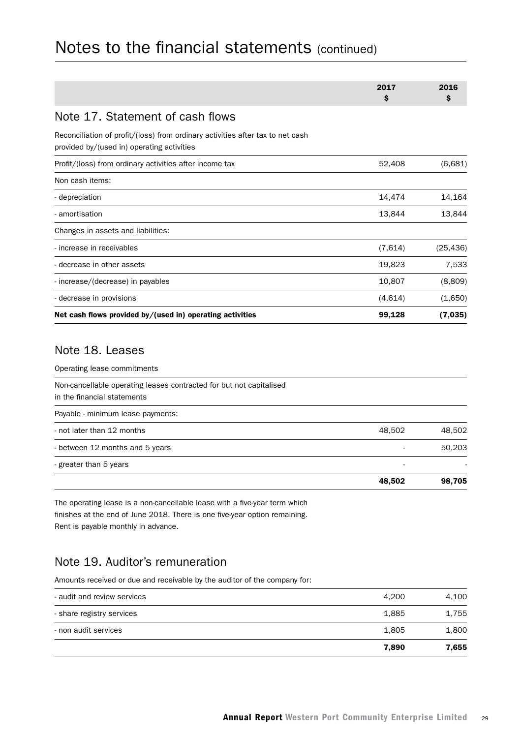|                                                                                                                              | 2017<br>\$ | 2016<br>s |
|------------------------------------------------------------------------------------------------------------------------------|------------|-----------|
| Note 17. Statement of cash flows                                                                                             |            |           |
| Reconciliation of profit/(loss) from ordinary activities after tax to net cash<br>provided by/(used in) operating activities |            |           |
| Profit/(loss) from ordinary activities after income tax                                                                      | 52,408     | (6,681)   |
| Non cash items:                                                                                                              |            |           |
| - depreciation                                                                                                               | 14,474     | 14,164    |
| - amortisation                                                                                                               | 13,844     | 13,844    |
| Changes in assets and liabilities:                                                                                           |            |           |
| - increase in receivables                                                                                                    | (7,614)    | (25, 436) |
| - decrease in other assets                                                                                                   | 19,823     | 7,533     |
| - increase/(decrease) in payables                                                                                            | 10,807     | (8,809)   |
| - decrease in provisions                                                                                                     | (4,614)    | (1,650)   |
| Net cash flows provided by/(used in) operating activities                                                                    | 99,128     | (7,035)   |
| Note 18. Leases                                                                                                              |            |           |
| Operating lease commitments                                                                                                  |            |           |
| Non-cancellable operating leases contracted for but not capitalised<br>in the financial statements                           |            |           |
| Payable - minimum lease payments:                                                                                            |            |           |
| - not later than 12 months                                                                                                   | 48,502     | 48,502    |
| - between 12 months and 5 years                                                                                              |            | 50,203    |
| greater than 5 years                                                                                                         |            |           |
|                                                                                                                              | 48,502     | 98,705    |

The operating lease is a non-cancellable lease with a five-year term which finishes at the end of June 2018. There is one five-year option remaining. Rent is payable monthly in advance.

## Note 19. Auditor's remuneration

Amounts received or due and receivable by the auditor of the company for:

|                             | 7.890 | 7,655 |
|-----------------------------|-------|-------|
| - non audit services        | 1,805 | 1,800 |
| - share registry services   | 1,885 | 1,755 |
| - audit and review services | 4.200 | 4,100 |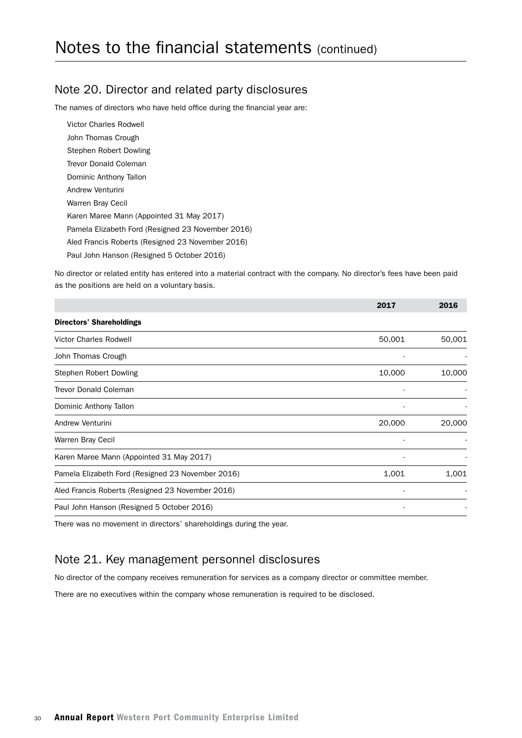### Note 20. Director and related party disclosures

The names of directors who have held office during the financial year are:

Victor Charles Rodwell John Thomas Crough Stephen Robert Dowling Trevor Donald Coleman Dominic Anthony Tallon Andrew Venturini Warren Bray Cecil Karen Maree Mann (Appointed 31 May 2017) Pamela Elizabeth Ford (Resigned 23 November 2016) Aled Francis Roberts (Resigned 23 November 2016) Paul John Hanson (Resigned 5 October 2016)

No director or related entity has entered into a material contract with the company. No director's fees have been paid as the positions are held on a voluntary basis.

|                                                   | 2017   | 2016   |
|---------------------------------------------------|--------|--------|
| <b>Directors' Shareholdings</b>                   |        |        |
| <b>Victor Charles Rodwell</b>                     | 50,001 | 50,001 |
| John Thomas Crough                                |        |        |
| Stephen Robert Dowling                            | 10,000 | 10,000 |
| Trevor Donald Coleman                             |        |        |
| Dominic Anthony Tallon                            |        |        |
| Andrew Venturini                                  | 20,000 | 20,000 |
| Warren Bray Cecil                                 |        |        |
| Karen Maree Mann (Appointed 31 May 2017)          |        |        |
| Pamela Elizabeth Ford (Resigned 23 November 2016) | 1,001  | 1,001  |
| Aled Francis Roberts (Resigned 23 November 2016)  |        |        |
| Paul John Hanson (Resigned 5 October 2016)        | ٠      |        |

There was no movement in directors' shareholdings during the year.

### Note 21. Key management personnel disclosures

No director of the company receives remuneration for services as a company director or committee member.

There are no executives within the company whose remuneration is required to be disclosed.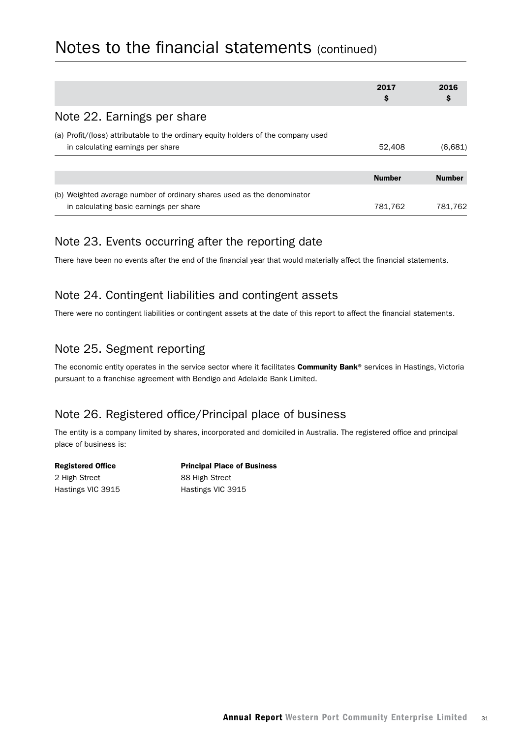|                                                                                                                        | 2017<br>\$    | 2016<br>Ş     |
|------------------------------------------------------------------------------------------------------------------------|---------------|---------------|
| Note 22. Earnings per share                                                                                            |               |               |
| (a) Profit/(loss) attributable to the ordinary equity holders of the company used<br>in calculating earnings per share | 52,408        | (6,681)       |
|                                                                                                                        | <b>Number</b> | <b>Number</b> |
| (b) Weighted average number of ordinary shares used as the denominator<br>in calculating basic earnings per share      | 781.762       | 781.762       |

### Note 23. Events occurring after the reporting date

There have been no events after the end of the financial year that would materially affect the financial statements.

## Note 24. Contingent liabilities and contingent assets

There were no contingent liabilities or contingent assets at the date of this report to affect the financial statements.

### Note 25. Segment reporting

The economic entity operates in the service sector where it facilitates Community Bank® services in Hastings, Victoria pursuant to a franchise agreement with Bendigo and Adelaide Bank Limited.

## Note 26. Registered office/Principal place of business

The entity is a company limited by shares, incorporated and domiciled in Australia. The registered office and principal place of business is:

2 High Street 88 High Street Hastings VIC 3915 Hastings VIC 3915

Registered Office **Principal Place of Business**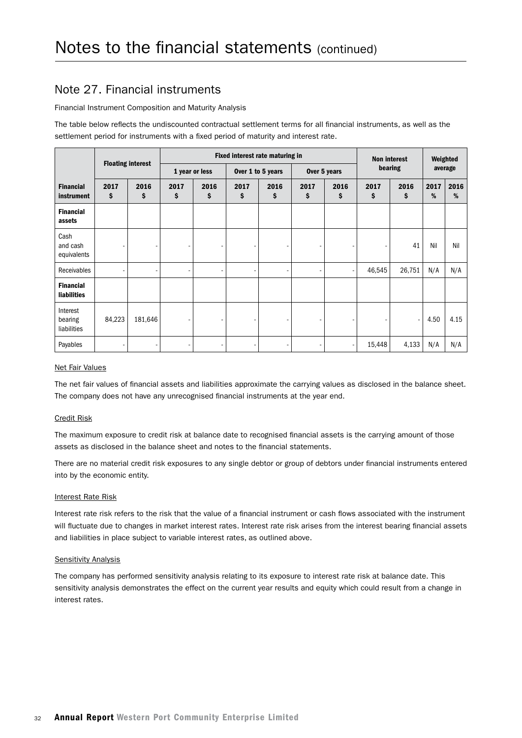## Note 27. Financial instruments

#### Financial Instrument Composition and Maturity Analysis

The table below reflects the undiscounted contractual settlement terms for all financial instruments, as well as the settlement period for instruments with a fixed period of maturity and interest rate.

|                                        |            |                | <b>Fixed interest rate maturing in</b> |                   |            |              |            |            | <b>Non interest</b> |                          | Weighted  |           |
|----------------------------------------|------------|----------------|----------------------------------------|-------------------|------------|--------------|------------|------------|---------------------|--------------------------|-----------|-----------|
| <b>Floating interest</b>               |            | 1 year or less |                                        | Over 1 to 5 years |            | Over 5 years |            | bearing    |                     | average                  |           |           |
| <b>Financial</b><br><i>instrument</i>  | 2017<br>\$ | 2016<br>\$     | 2017<br>\$                             | 2016<br>\$        | 2017<br>\$ | 2016<br>\$   | 2017<br>\$ | 2016<br>\$ | 2017<br>\$          | 2016<br>\$               | 2017<br>% | 2016<br>% |
| <b>Financial</b><br>assets             |            |                |                                        |                   |            |              |            |            |                     |                          |           |           |
| Cash<br>and cash<br>equivalents        |            | -              | -                                      |                   |            |              |            |            |                     | 41                       | Nil       | Nil       |
| Receivables                            |            |                | -                                      |                   |            |              |            |            | 46,545              | 26,751                   | N/A       | N/A       |
| <b>Financial</b><br><b>liabilities</b> |            |                |                                        |                   |            |              |            |            |                     |                          |           |           |
| Interest<br>bearing<br>liabilities     | 84,223     | 181,646        | -                                      |                   |            |              |            |            |                     | $\overline{\phantom{a}}$ | 4.50      | 4.15      |
| Payables                               |            |                |                                        |                   |            |              |            |            | 15,448              | 4,133                    | N/A       | N/A       |

#### Net Fair Values

The net fair values of financial assets and liabilities approximate the carrying values as disclosed in the balance sheet. The company does not have any unrecognised financial instruments at the year end.

#### Credit Risk

The maximum exposure to credit risk at balance date to recognised financial assets is the carrying amount of those assets as disclosed in the balance sheet and notes to the financial statements.

There are no material credit risk exposures to any single debtor or group of debtors under financial instruments entered into by the economic entity.

#### Interest Rate Risk

Interest rate risk refers to the risk that the value of a financial instrument or cash flows associated with the instrument will fluctuate due to changes in market interest rates. Interest rate risk arises from the interest bearing financial assets and liabilities in place subject to variable interest rates, as outlined above.

#### **Sensitivity Analysis**

The company has performed sensitivity analysis relating to its exposure to interest rate risk at balance date. This sensitivity analysis demonstrates the effect on the current year results and equity which could result from a change in interest rates.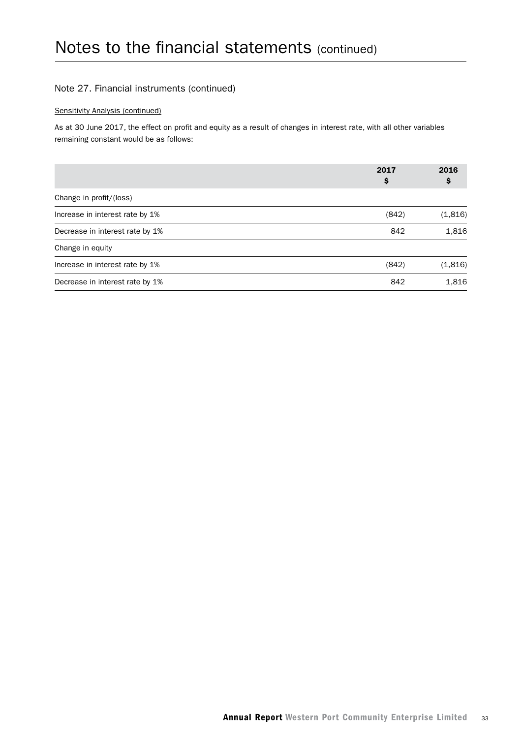#### Note 27. Financial instruments (continued)

#### Sensitivity Analysis (continued)

As at 30 June 2017, the effect on profit and equity as a result of changes in interest rate, with all other variables remaining constant would be as follows:

|                                 | 2017<br>\$ | 2016    |
|---------------------------------|------------|---------|
| Change in profit/(loss)         |            |         |
| Increase in interest rate by 1% | (842)      | (1,816) |
| Decrease in interest rate by 1% | 842        | 1,816   |
| Change in equity                |            |         |
| Increase in interest rate by 1% | (842)      | (1,816) |
| Decrease in interest rate by 1% | 842        | 1,816   |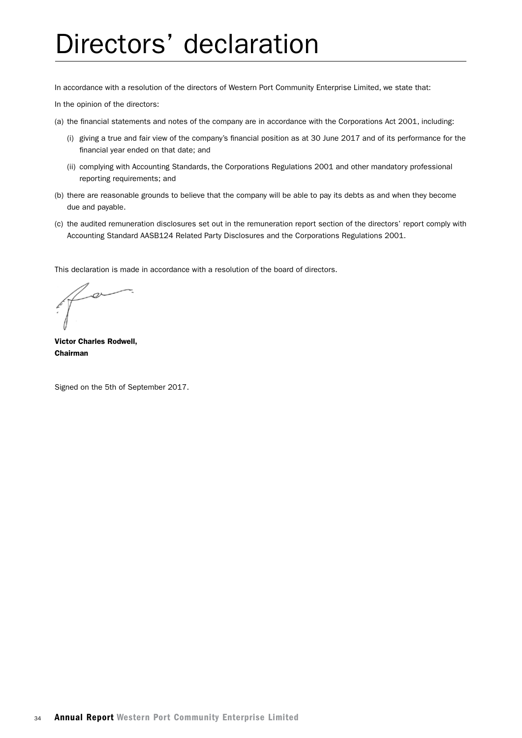## Directors' declaration

In accordance with a resolution of the directors of Western Port Community Enterprise Limited, we state that:

In the opinion of the directors:

- (a) the financial statements and notes of the company are in accordance with the Corporations Act 2001, including:
	- (i) giving a true and fair view of the company's financial position as at 30 June 2017 and of its performance for the financial year ended on that date; and
	- (ii) complying with Accounting Standards, the Corporations Regulations 2001 and other mandatory professional reporting requirements; and
- (b) there are reasonable grounds to believe that the company will be able to pay its debts as and when they become due and payable.
- (c) the audited remuneration disclosures set out in the remuneration report section of the directors' report comply with Accounting Standard AASB124 Related Party Disclosures and the Corporations Regulations 2001.

This declaration is made in accordance with a resolution of the board of directors.

Victor Charles Rodwell, Chairman

Signed on the 5th of September 2017.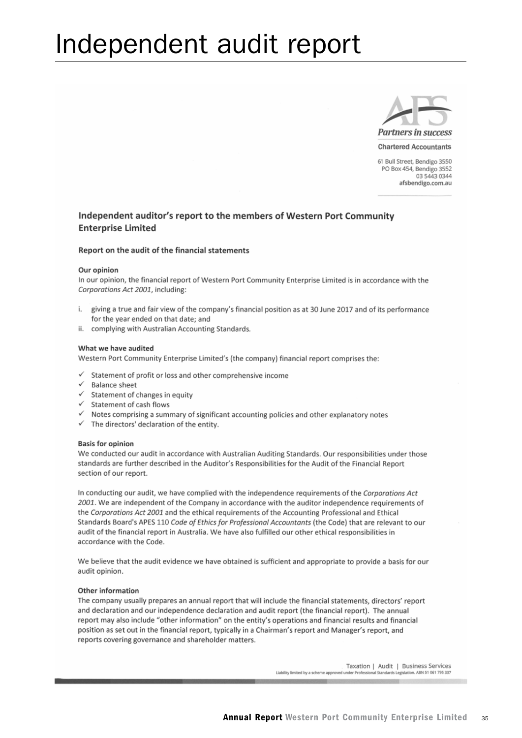## Independent audit report



**Chartered Accountants** 

61 Bull Street, Bendigo 3550 PO Box 454, Bendigo 3552 03 5443 0344 afsbendigo.com.au

#### Independent auditor's report to the members of Western Port Community **Enterprise Limited**

#### Report on the audit of the financial statements

#### Our opinion

In our opinion, the financial report of Western Port Community Enterprise Limited is in accordance with the Corporations Act 2001, including:

- i. giving a true and fair view of the company's financial position as at 30 June 2017 and of its performance for the year ended on that date; and
- ii. complying with Australian Accounting Standards.

#### What we have audited

Western Port Community Enterprise Limited's (the company) financial report comprises the:

- $\checkmark$  Statement of profit or loss and other comprehensive income
- $\checkmark$  Balance sheet
- $\checkmark$  Statement of changes in equity
- $\checkmark$  Statement of cash flows
- $\checkmark$  Notes comprising a summary of significant accounting policies and other explanatory notes
- $\checkmark$  The directors' declaration of the entity.

#### **Basis for opinion**

We conducted our audit in accordance with Australian Auditing Standards. Our responsibilities under those standards are further described in the Auditor's Responsibilities for the Audit of the Financial Report section of our report.

In conducting our audit, we have complied with the independence requirements of the Corporations Act 2001. We are independent of the Company in accordance with the auditor independence requirements of the Corporations Act 2001 and the ethical requirements of the Accounting Professional and Ethical Standards Board's APES 110 Code of Ethics for Professional Accountants (the Code) that are relevant to our audit of the financial report in Australia. We have also fulfilled our other ethical responsibilities in accordance with the Code.

We believe that the audit evidence we have obtained is sufficient and appropriate to provide a basis for our audit opinion.

#### Other information

The company usually prepares an annual report that will include the financial statements, directors' report and declaration and our independence declaration and audit report (the financial report). The annual report may also include "other information" on the entity's operations and financial results and financial position as set out in the financial report, typically in a Chairman's report and Manager's report, and reports covering governance and shareholder matters.

> Taxation | Audit | Business Services Liability limited by a scheme approved under Professio I Standards Le islation, ABN 51 061 795 337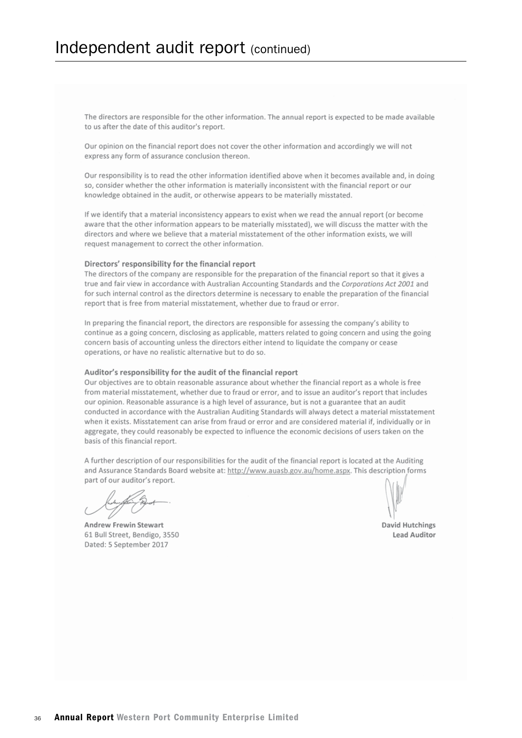The directors are responsible for the other information. The annual report is expected to be made available to us after the date of this auditor's report.

Our opinion on the financial report does not cover the other information and accordingly we will not express any form of assurance conclusion thereon.

Our responsibility is to read the other information identified above when it becomes available and, in doing so, consider whether the other information is materially inconsistent with the financial report or our knowledge obtained in the audit, or otherwise appears to be materially misstated.

If we identify that a material inconsistency appears to exist when we read the annual report (or become aware that the other information appears to be materially misstated), we will discuss the matter with the directors and where we believe that a material misstatement of the other information exists, we will request management to correct the other information.

#### Directors' responsibility for the financial report

The directors of the company are responsible for the preparation of the financial report so that it gives a true and fair view in accordance with Australian Accounting Standards and the Corporations Act 2001 and for such internal control as the directors determine is necessary to enable the preparation of the financial report that is free from material misstatement, whether due to fraud or error.

In preparing the financial report, the directors are responsible for assessing the company's ability to continue as a going concern, disclosing as applicable, matters related to going concern and using the going concern basis of accounting unless the directors either intend to liquidate the company or cease operations, or have no realistic alternative but to do so.

#### Auditor's responsibility for the audit of the financial report

Our objectives are to obtain reasonable assurance about whether the financial report as a whole is free from material misstatement, whether due to fraud or error, and to issue an auditor's report that includes our opinion. Reasonable assurance is a high level of assurance, but is not a guarantee that an audit conducted in accordance with the Australian Auditing Standards will always detect a material misstatement when it exists. Misstatement can arise from fraud or error and are considered material if, individually or in aggregate, they could reasonably be expected to influence the economic decisions of users taken on the basis of this financial report.

A further description of our responsibilities for the audit of the financial report is located at the Auditing and Assurance Standards Board website at: http://www.auasb.gov.au/home.aspx. This description forms part of our auditor's report.

**Andrew Frewin Stewart** 61 Bull Street, Bendigo, 3550 Dated: 5 September 2017

**David Hutchings Lead Auditor**